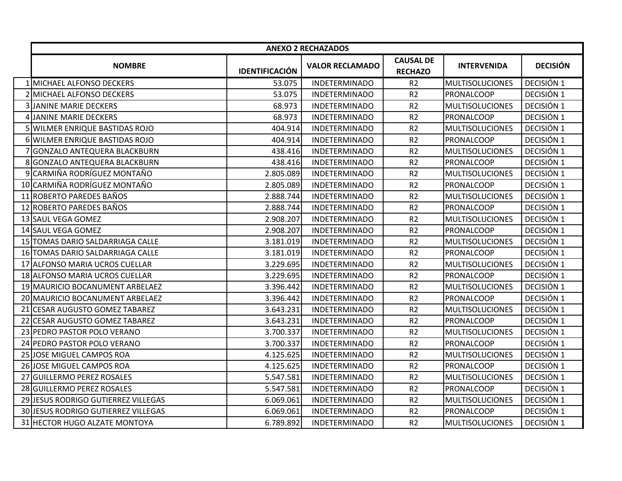|                                     |                       | <b>ANEXO 2 RECHAZADOS</b> |                                    |                        |                 |
|-------------------------------------|-----------------------|---------------------------|------------------------------------|------------------------|-----------------|
| <b>NOMBRE</b>                       | <b>IDENTIFICACIÓN</b> | <b>VALOR RECLAMADO</b>    | <b>CAUSAL DE</b><br><b>RECHAZO</b> | <b>INTERVENIDA</b>     | <b>DECISIÓN</b> |
| 1 MICHAEL ALFONSO DECKERS           | 53.075                | <b>INDETERMINADO</b>      | R <sub>2</sub>                     | <b>MULTISOLUCIONES</b> | DECISIÓN 1      |
| 2 MICHAEL ALFONSO DECKERS           | 53.075                | <b>INDETERMINADO</b>      | R <sub>2</sub>                     | PRONALCOOP             | DECISIÓN 1      |
| <b>3 JANINE MARIE DECKERS</b>       | 68.973                | <b>INDETERMINADO</b>      | R <sub>2</sub>                     | <b>MULTISOLUCIONES</b> | DECISIÓN 1      |
| 4 JANINE MARIE DECKERS              | 68.973                | <b>INDETERMINADO</b>      | R <sub>2</sub>                     | PRONALCOOP             | DECISIÓN 1      |
| 5 WILMER ENRIQUE BASTIDAS ROJO      | 404.914               | <b>INDETERMINADO</b>      | R <sub>2</sub>                     | <b>MULTISOLUCIONES</b> | DECISIÓN 1      |
| 6 WILMER ENRIQUE BASTIDAS ROJO      | 404.914               | <b>INDETERMINADO</b>      | R <sub>2</sub>                     | <b>PRONALCOOP</b>      | DECISIÓN 1      |
| 7 GONZALO ANTEQUERA BLACKBURN       | 438.416               | <b>INDETERMINADO</b>      | R <sub>2</sub>                     | <b>MULTISOLUCIONES</b> | DECISIÓN 1      |
| 8 GONZALO ANTEQUERA BLACKBURN       | 438.416               | <b>INDETERMINADO</b>      | R <sub>2</sub>                     | PRONALCOOP             | DECISIÓN 1      |
| 9 CARMIÑA RODRÍGUEZ MONTAÑO         | 2.805.089             | <b>INDETERMINADO</b>      | R <sub>2</sub>                     | <b>MULTISOLUCIONES</b> | DECISIÓN 1      |
| 10 CARMIÑA RODRÍGUEZ MONTAÑO        | 2.805.089             | <b>INDETERMINADO</b>      | R <sub>2</sub>                     | PRONALCOOP             | DECISIÓN 1      |
| 11 ROBERTO PAREDES BAÑOS            | 2.888.744             | <b>INDETERMINADO</b>      | R <sub>2</sub>                     | <b>MULTISOLUCIONES</b> | DECISIÓN 1      |
| 12 ROBERTO PAREDES BAÑOS            | 2.888.744             | <b>INDETERMINADO</b>      | R <sub>2</sub>                     | <b>PRONALCOOP</b>      | DECISIÓN 1      |
| 13 SAUL VEGA GOMEZ                  | 2.908.207             | <b>INDETERMINADO</b>      | R <sub>2</sub>                     | <b>MULTISOLUCIONES</b> | DECISIÓN 1      |
| 14 SAUL VEGA GOMEZ                  | 2.908.207             | <b>INDETERMINADO</b>      | R <sub>2</sub>                     | PRONALCOOP             | DECISIÓN 1      |
| 15 TOMAS DARIO SALDARRIAGA CALLE    | 3.181.019             | <b>INDETERMINADO</b>      | R <sub>2</sub>                     | <b>MULTISOLUCIONES</b> | DECISIÓN 1      |
| 16 TOMAS DARIO SALDARRIAGA CALLE    | 3.181.019             | <b>INDETERMINADO</b>      | R <sub>2</sub>                     | <b>PRONALCOOP</b>      | DECISIÓN 1      |
| 17 ALFONSO MARIA UCROS CUELLAR      | 3.229.695             | <b>INDETERMINADO</b>      | R <sub>2</sub>                     | <b>MULTISOLUCIONES</b> | DECISIÓN 1      |
| 18 ALFONSO MARIA UCROS CUELLAR      | 3.229.695             | <b>INDETERMINADO</b>      | R <sub>2</sub>                     | <b>PRONALCOOP</b>      | DECISIÓN 1      |
| 19 MAURICIO BOCANUMENT ARBELAEZ     | 3.396.442             | <b>INDETERMINADO</b>      | R <sub>2</sub>                     | <b>MULTISOLUCIONES</b> | DECISIÓN 1      |
| 20 MAURICIO BOCANUMENT ARBELAEZ     | 3.396.442             | <b>INDETERMINADO</b>      | R <sub>2</sub>                     | PRONALCOOP             | DECISIÓN 1      |
| 21 CESAR AUGUSTO GOMEZ TABAREZ      | 3.643.231             | <b>INDETERMINADO</b>      | R <sub>2</sub>                     | <b>MULTISOLUCIONES</b> | DECISIÓN 1      |
| 22 CESAR AUGUSTO GOMEZ TABAREZ      | 3.643.231             | <b>INDETERMINADO</b>      | R2                                 | PRONALCOOP             | DECISIÓN 1      |
| 23 PEDRO PASTOR POLO VERANO         | 3.700.337             | <b>INDETERMINADO</b>      | R <sub>2</sub>                     | <b>MULTISOLUCIONES</b> | DECISIÓN 1      |
| 24 PEDRO PASTOR POLO VERANO         | 3.700.337             | <b>INDETERMINADO</b>      | R2                                 | PRONALCOOP             | DECISIÓN 1      |
| 25 JOSE MIGUEL CAMPOS ROA           | 4.125.625             | <b>INDETERMINADO</b>      | R <sub>2</sub>                     | <b>MULTISOLUCIONES</b> | DECISIÓN 1      |
| 26 JOSE MIGUEL CAMPOS ROA           | 4.125.625             | <b>INDETERMINADO</b>      | R <sub>2</sub>                     | <b>PRONALCOOP</b>      | DECISIÓN 1      |
| 27 GUILLERMO PEREZ ROSALES          | 5.547.581             | <b>INDETERMINADO</b>      | R <sub>2</sub>                     | <b>MULTISOLUCIONES</b> | DECISIÓN 1      |
| 28 GUILLERMO PEREZ ROSALES          | 5.547.581             | <b>INDETERMINADO</b>      | R <sub>2</sub>                     | <b>PRONALCOOP</b>      | DECISIÓN 1      |
| 29 JESUS RODRIGO GUTIERREZ VILLEGAS | 6.069.061             | <b>INDETERMINADO</b>      | R <sub>2</sub>                     | <b>MULTISOLUCIONES</b> | DECISIÓN 1      |
| 30 JESUS RODRIGO GUTIERREZ VILLEGAS | 6.069.061             | <b>INDETERMINADO</b>      | R <sub>2</sub>                     | PRONALCOOP             | DECISIÓN 1      |
| 31 HECTOR HUGO ALZATE MONTOYA       | 6.789.892             | <b>INDETERMINADO</b>      | R <sub>2</sub>                     | <b>MULTISOLUCIONES</b> | DECISIÓN 1      |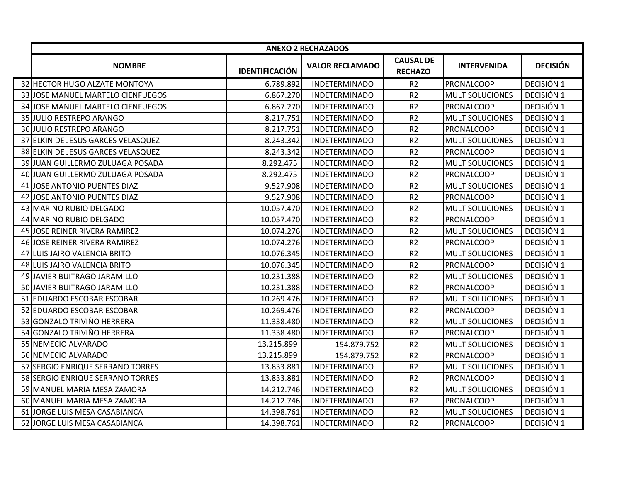|                                    |                       | <b>ANEXO 2 RECHAZADOS</b> |                                    |                        |                 |
|------------------------------------|-----------------------|---------------------------|------------------------------------|------------------------|-----------------|
| <b>NOMBRE</b>                      | <b>IDENTIFICACIÓN</b> | <b>VALOR RECLAMADO</b>    | <b>CAUSAL DE</b><br><b>RECHAZO</b> | <b>INTERVENIDA</b>     | <b>DECISIÓN</b> |
| 32 HECTOR HUGO ALZATE MONTOYA      | 6.789.892             | <b>INDETERMINADO</b>      | R <sub>2</sub>                     | <b>PRONALCOOP</b>      | DECISIÓN 1      |
| 33 JOSE MANUEL MARTELO CIENFUEGOS  | 6.867.270             | <b>INDETERMINADO</b>      | R <sub>2</sub>                     | <b>MULTISOLUCIONES</b> | DECISIÓN 1      |
| 34 JOSE MANUEL MARTELO CIENFUEGOS  | 6.867.270             | <b>INDETERMINADO</b>      | R2                                 | <b>PRONALCOOP</b>      | DECISIÓN 1      |
| 35 JULIO RESTREPO ARANGO           | 8.217.751             | <b>INDETERMINADO</b>      | R <sub>2</sub>                     | <b>MULTISOLUCIONES</b> | DECISIÓN 1      |
| 36 JULIO RESTREPO ARANGO           | 8.217.751             | <b>INDETERMINADO</b>      | R <sub>2</sub>                     | <b>PRONALCOOP</b>      | DECISIÓN 1      |
| 37 ELKIN DE JESUS GARCES VELASQUEZ | 8.243.342             | <b>INDETERMINADO</b>      | R <sub>2</sub>                     | <b>MULTISOLUCIONES</b> | DECISIÓN 1      |
| 38 ELKIN DE JESUS GARCES VELASQUEZ | 8.243.342             | <b>INDETERMINADO</b>      | R <sub>2</sub>                     | <b>PRONALCOOP</b>      | DECISIÓN 1      |
| 39 JUAN GUILLERMO ZULUAGA POSADA   | 8.292.475             | <b>INDETERMINADO</b>      | R <sub>2</sub>                     | <b>MULTISOLUCIONES</b> | DECISIÓN 1      |
| 40 JUAN GUILLERMO ZULUAGA POSADA   | 8.292.475             | <b>INDETERMINADO</b>      | R <sub>2</sub>                     | <b>PRONALCOOP</b>      | DECISIÓN 1      |
| 41 JOSE ANTONIO PUENTES DIAZ       | 9.527.908             | <b>INDETERMINADO</b>      | R <sub>2</sub>                     | <b>MULTISOLUCIONES</b> | DECISIÓN 1      |
| 42 JOSE ANTONIO PUENTES DIAZ       | 9.527.908             | <b>INDETERMINADO</b>      | R <sub>2</sub>                     | <b>PRONALCOOP</b>      | DECISIÓN 1      |
| 43 MARINO RUBIO DELGADO            | 10.057.470            | <b>INDETERMINADO</b>      | R <sub>2</sub>                     | <b>MULTISOLUCIONES</b> | DECISIÓN 1      |
| 44 MARINO RUBIO DELGADO            | 10.057.470            | <b>INDETERMINADO</b>      | R <sub>2</sub>                     | <b>PRONALCOOP</b>      | DECISIÓN 1      |
| 45 JOSE REINER RIVERA RAMIREZ      | 10.074.276            | <b>INDETERMINADO</b>      | R <sub>2</sub>                     | <b>MULTISOLUCIONES</b> | DECISIÓN 1      |
| 46 JOSE REINER RIVERA RAMIREZ      | 10.074.276            | <b>INDETERMINADO</b>      | R <sub>2</sub>                     | <b>PRONALCOOP</b>      | DECISIÓN 1      |
| 47 LUIS JAIRO VALENCIA BRITO       | 10.076.345            | <b>INDETERMINADO</b>      | R2                                 | <b>MULTISOLUCIONES</b> | DECISIÓN 1      |
| 48 LUIS JAIRO VALENCIA BRITO       | 10.076.345            | <b>INDETERMINADO</b>      | R <sub>2</sub>                     | PRONALCOOP             | DECISIÓN 1      |
| 49 JAVIER BUITRAGO JARAMILLO       | 10.231.388            | <b>INDETERMINADO</b>      | R <sub>2</sub>                     | <b>MULTISOLUCIONES</b> | DECISIÓN 1      |
| 50 JAVIER BUITRAGO JARAMILLO       | 10.231.388            | <b>INDETERMINADO</b>      | R <sub>2</sub>                     | <b>PRONALCOOP</b>      | DECISIÓN 1      |
| 51 EDUARDO ESCOBAR ESCOBAR         | 10.269.476            | <b>INDETERMINADO</b>      | R <sub>2</sub>                     | <b>MULTISOLUCIONES</b> | DECISIÓN 1      |
| 52 EDUARDO ESCOBAR ESCOBAR         | 10.269.476            | <b>INDETERMINADO</b>      | R <sub>2</sub>                     | <b>PRONALCOOP</b>      | DECISIÓN 1      |
| 53 GONZALO TRIVIÑO HERRERA         | 11.338.480            | <b>INDETERMINADO</b>      | R <sub>2</sub>                     | <b>MULTISOLUCIONES</b> | DECISIÓN 1      |
| 54 GONZALO TRIVIÑO HERRERA         | 11.338.480            | <b>INDETERMINADO</b>      | R <sub>2</sub>                     | <b>PRONALCOOP</b>      | DECISIÓN 1      |
| 55 NEMECIO ALVARADO                | 13.215.899            | 154.879.752               | R <sub>2</sub>                     | <b>MULTISOLUCIONES</b> | DECISIÓN 1      |
| 56 NEMECIO ALVARADO                | 13.215.899            | 154.879.752               | R <sub>2</sub>                     | <b>PRONALCOOP</b>      | DECISIÓN 1      |
| 57 SERGIO ENRIQUE SERRANO TORRES   | 13.833.881            | <b>INDETERMINADO</b>      | R2                                 | MULTISOLUCIONES        | DECISIÓN 1      |
| 58 SERGIO ENRIQUE SERRANO TORRES   | 13.833.881            | <b>INDETERMINADO</b>      | R <sub>2</sub>                     | PRONALCOOP             | DECISIÓN 1      |
| 59 MANUEL MARIA MESA ZAMORA        | 14.212.746            | <b>INDETERMINADO</b>      | R <sub>2</sub>                     | <b>MULTISOLUCIONES</b> | DECISIÓN 1      |
| 60 MANUEL MARIA MESA ZAMORA        | 14.212.746            | <b>INDETERMINADO</b>      | R <sub>2</sub>                     | <b>PRONALCOOP</b>      | DECISIÓN 1      |
| 61 JORGE LUIS MESA CASABIANCA      | 14.398.761            | <b>INDETERMINADO</b>      | R <sub>2</sub>                     | <b>MULTISOLUCIONES</b> | DECISIÓN 1      |
| 62 JORGE LUIS MESA CASABIANCA      | 14.398.761            | <b>INDETERMINADO</b>      | R <sub>2</sub>                     | <b>PRONALCOOP</b>      | DECISIÓN 1      |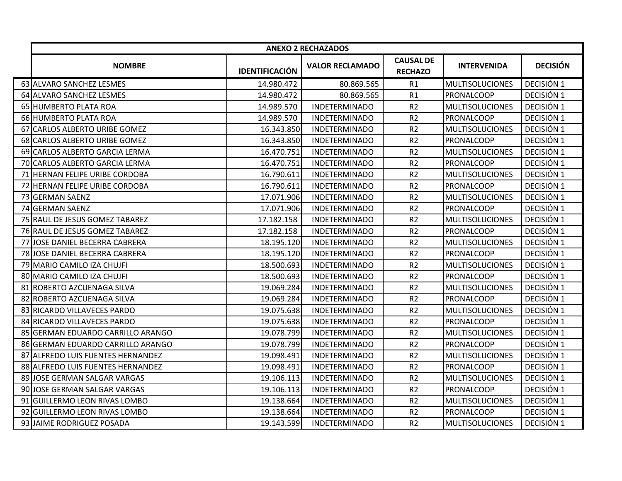| <b>CAUSAL DE</b><br><b>DECISIÓN</b><br><b>INTERVENIDA</b><br><b>NOMBRE</b><br><b>VALOR RECLAMADO</b><br><b>IDENTIFICACIÓN</b><br><b>RECHAZO</b><br>63 ALVARO SANCHEZ LESMES<br>DECISIÓN 1<br>14.980.472<br>80.869.565<br>R1<br><b>MULTISOLUCIONES</b><br>DECISIÓN 1<br>64 ALVARO SANCHEZ LESMES<br>14.980.472<br>80.869.565<br>R1<br><b>PRONALCOOP</b><br>65 HUMBERTO PLATA ROA<br>14.989.570<br>R <sub>2</sub><br>DECISIÓN 1<br><b>INDETERMINADO</b><br><b>MULTISOLUCIONES</b><br>R2<br>66 HUMBERTO PLATA ROA<br>14.989.570<br><b>INDETERMINADO</b><br><b>PRONALCOOP</b><br>DECISIÓN 1<br>67 CARLOS ALBERTO URIBE GOMEZ<br>16.343.850<br>R2<br><b>MULTISOLUCIONES</b><br>DECISIÓN 1<br><b>INDETERMINADO</b><br>R <sub>2</sub><br>DECISIÓN 1<br>68 CARLOS ALBERTO URIBE GOMEZ<br>16.343.850<br><b>INDETERMINADO</b><br>PRONALCOOP<br>R <sub>2</sub><br>DECISIÓN 1<br>69 CARLOS ALBERTO GARCIA LERMA<br>16.470.751<br><b>INDETERMINADO</b><br><b>MULTISOLUCIONES</b><br>70 CARLOS ALBERTO GARCIA LERMA<br>R <sub>2</sub><br>DECISIÓN 1<br>16.470.751<br><b>INDETERMINADO</b><br><b>PRONALCOOP</b><br>R <sub>2</sub><br>DECISIÓN 1<br>71 HERNAN FELIPE URIBE CORDOBA<br>16.790.611<br><b>INDETERMINADO</b><br><b>MULTISOLUCIONES</b><br>DECISIÓN 1<br><b>HERNAN FELIPE URIBE CORDOBA</b><br>16.790.611<br><b>INDETERMINADO</b><br>R <sub>2</sub><br><b>PRONALCOOP</b><br>72<br>17.071.906<br>R <sub>2</sub><br>DECISIÓN 1<br>73 GERMAN SAENZ<br><b>INDETERMINADO</b><br><b>MULTISOLUCIONES</b><br>DECISIÓN 1<br>74 GERMAN SAENZ<br>17.071.906<br><b>INDETERMINADO</b><br>R <sub>2</sub><br><b>PRONALCOOP</b><br>R <sub>2</sub><br>DECISIÓN 1<br>75 RAUL DE JESUS GOMEZ TABAREZ<br>17.182.158<br><b>INDETERMINADO</b><br><b>MULTISOLUCIONES</b><br>17.182.158<br>R <sub>2</sub><br>DECISIÓN 1<br>76 RAUL DE JESUS GOMEZ TABAREZ<br><b>INDETERMINADO</b><br><b>PRONALCOOP</b><br>R <sub>2</sub><br>DECISIÓN 1<br>77 JOSE DANIEL BECERRA CABRERA<br><b>INDETERMINADO</b><br><b>MULTISOLUCIONES</b><br>18.195.120<br>DECISIÓN 1<br>R <sub>2</sub><br>78 JOSE DANIEL BECERRA CABRERA<br>18.195.120<br><b>INDETERMINADO</b><br><b>PRONALCOOP</b><br>DECISIÓN 1<br>79 MARIO CAMILO IZA CHUJFI<br>18.500.693<br><b>INDETERMINADO</b><br>R <sub>2</sub><br><b>MULTISOLUCIONES</b><br>R <sub>2</sub><br>DECISIÓN 1<br>80 MARIO CAMILO IZA CHUJFI<br>18.500.693<br><b>INDETERMINADO</b><br><b>PRONALCOOP</b><br>19.069.284<br>R <sub>2</sub><br><b>MULTISOLUCIONES</b><br>DECISIÓN 1<br>81 ROBERTO AZCUENAGA SILVA<br><b>INDETERMINADO</b><br>R2<br>19.069.284<br>DECISIÓN 1<br>82 ROBERTO AZCUENAGA SILVA<br><b>INDETERMINADO</b><br><b>PRONALCOOP</b><br>R <sub>2</sub><br>83 RICARDO VILLAVECES PARDO<br>19.075.638<br><b>INDETERMINADO</b><br>DECISIÓN 1<br><b>MULTISOLUCIONES</b><br>R2<br>DECISIÓN 1<br>84 RICARDO VILLAVECES PARDO<br>19.075.638<br><b>INDETERMINADO</b><br><b>PRONALCOOP</b><br>R2<br>DECISIÓN 1<br>85 GERMAN EDUARDO CARRILLO ARANGO<br>19.078.799<br><b>INDETERMINADO</b><br><b>MULTISOLUCIONES</b><br>86 GERMAN EDUARDO CARRILLO ARANGO<br>R2<br>DECISIÓN 1<br>19.078.799<br><b>INDETERMINADO</b><br><b>PRONALCOOP</b><br>DECISIÓN 1<br>87 ALFREDO LUIS FUENTES HERNANDEZ<br>19.098.491<br>R2<br><b>MULTISOLUCIONES</b><br><b>INDETERMINADO</b><br>DECISIÓN 1<br>88 ALFREDO LUIS FUENTES HERNANDEZ<br>19.098.491<br><b>INDETERMINADO</b><br>R <sub>2</sub><br><b>PRONALCOOP</b><br>DECISIÓN 1<br>89 JOSE GERMAN SALGAR VARGAS<br>19.106.113<br><b>INDETERMINADO</b><br>R2<br><b>MULTISOLUCIONES</b><br>DECISIÓN 1<br>90 JOSE GERMAN SALGAR VARGAS<br>19.106.113<br><b>INDETERMINADO</b><br>R <sub>2</sub><br><b>PRONALCOOP</b><br>R <sub>2</sub><br>DECISIÓN 1<br>91 GUILLERMO LEON RIVAS LOMBO<br>19.138.664<br><b>INDETERMINADO</b><br><b>MULTISOLUCIONES</b><br>92<br>R2<br>DECISIÓN 1<br><b>GUILLERMO LEON RIVAS LOMBO</b><br>19.138.664<br><b>INDETERMINADO</b><br><b>PRONALCOOP</b> |                           |            | <b>ANEXO 2 RECHAZADOS</b> |                |                        |            |
|---------------------------------------------------------------------------------------------------------------------------------------------------------------------------------------------------------------------------------------------------------------------------------------------------------------------------------------------------------------------------------------------------------------------------------------------------------------------------------------------------------------------------------------------------------------------------------------------------------------------------------------------------------------------------------------------------------------------------------------------------------------------------------------------------------------------------------------------------------------------------------------------------------------------------------------------------------------------------------------------------------------------------------------------------------------------------------------------------------------------------------------------------------------------------------------------------------------------------------------------------------------------------------------------------------------------------------------------------------------------------------------------------------------------------------------------------------------------------------------------------------------------------------------------------------------------------------------------------------------------------------------------------------------------------------------------------------------------------------------------------------------------------------------------------------------------------------------------------------------------------------------------------------------------------------------------------------------------------------------------------------------------------------------------------------------------------------------------------------------------------------------------------------------------------------------------------------------------------------------------------------------------------------------------------------------------------------------------------------------------------------------------------------------------------------------------------------------------------------------------------------------------------------------------------------------------------------------------------------------------------------------------------------------------------------------------------------------------------------------------------------------------------------------------------------------------------------------------------------------------------------------------------------------------------------------------------------------------------------------------------------------------------------------------------------------------------------------------------------------------------------------------------------------------------------------------------------------------------------------------------------------------------------------------------------------------------------------------------------------------------------------------------------------------------------------------------------------------------------------------------------------------------------------------------------------------------------------------------------------------------------------------------------------------------------------------------------------------------------------------------------------------------------------------------------------------------------------------------------------------------------------------------------|---------------------------|------------|---------------------------|----------------|------------------------|------------|
|                                                                                                                                                                                                                                                                                                                                                                                                                                                                                                                                                                                                                                                                                                                                                                                                                                                                                                                                                                                                                                                                                                                                                                                                                                                                                                                                                                                                                                                                                                                                                                                                                                                                                                                                                                                                                                                                                                                                                                                                                                                                                                                                                                                                                                                                                                                                                                                                                                                                                                                                                                                                                                                                                                                                                                                                                                                                                                                                                                                                                                                                                                                                                                                                                                                                                                                                                                                                                                                                                                                                                                                                                                                                                                                                                                                                                                                                                                         |                           |            |                           |                |                        |            |
|                                                                                                                                                                                                                                                                                                                                                                                                                                                                                                                                                                                                                                                                                                                                                                                                                                                                                                                                                                                                                                                                                                                                                                                                                                                                                                                                                                                                                                                                                                                                                                                                                                                                                                                                                                                                                                                                                                                                                                                                                                                                                                                                                                                                                                                                                                                                                                                                                                                                                                                                                                                                                                                                                                                                                                                                                                                                                                                                                                                                                                                                                                                                                                                                                                                                                                                                                                                                                                                                                                                                                                                                                                                                                                                                                                                                                                                                                                         |                           |            |                           |                |                        |            |
|                                                                                                                                                                                                                                                                                                                                                                                                                                                                                                                                                                                                                                                                                                                                                                                                                                                                                                                                                                                                                                                                                                                                                                                                                                                                                                                                                                                                                                                                                                                                                                                                                                                                                                                                                                                                                                                                                                                                                                                                                                                                                                                                                                                                                                                                                                                                                                                                                                                                                                                                                                                                                                                                                                                                                                                                                                                                                                                                                                                                                                                                                                                                                                                                                                                                                                                                                                                                                                                                                                                                                                                                                                                                                                                                                                                                                                                                                                         |                           |            |                           |                |                        |            |
|                                                                                                                                                                                                                                                                                                                                                                                                                                                                                                                                                                                                                                                                                                                                                                                                                                                                                                                                                                                                                                                                                                                                                                                                                                                                                                                                                                                                                                                                                                                                                                                                                                                                                                                                                                                                                                                                                                                                                                                                                                                                                                                                                                                                                                                                                                                                                                                                                                                                                                                                                                                                                                                                                                                                                                                                                                                                                                                                                                                                                                                                                                                                                                                                                                                                                                                                                                                                                                                                                                                                                                                                                                                                                                                                                                                                                                                                                                         |                           |            |                           |                |                        |            |
|                                                                                                                                                                                                                                                                                                                                                                                                                                                                                                                                                                                                                                                                                                                                                                                                                                                                                                                                                                                                                                                                                                                                                                                                                                                                                                                                                                                                                                                                                                                                                                                                                                                                                                                                                                                                                                                                                                                                                                                                                                                                                                                                                                                                                                                                                                                                                                                                                                                                                                                                                                                                                                                                                                                                                                                                                                                                                                                                                                                                                                                                                                                                                                                                                                                                                                                                                                                                                                                                                                                                                                                                                                                                                                                                                                                                                                                                                                         |                           |            |                           |                |                        |            |
|                                                                                                                                                                                                                                                                                                                                                                                                                                                                                                                                                                                                                                                                                                                                                                                                                                                                                                                                                                                                                                                                                                                                                                                                                                                                                                                                                                                                                                                                                                                                                                                                                                                                                                                                                                                                                                                                                                                                                                                                                                                                                                                                                                                                                                                                                                                                                                                                                                                                                                                                                                                                                                                                                                                                                                                                                                                                                                                                                                                                                                                                                                                                                                                                                                                                                                                                                                                                                                                                                                                                                                                                                                                                                                                                                                                                                                                                                                         |                           |            |                           |                |                        |            |
|                                                                                                                                                                                                                                                                                                                                                                                                                                                                                                                                                                                                                                                                                                                                                                                                                                                                                                                                                                                                                                                                                                                                                                                                                                                                                                                                                                                                                                                                                                                                                                                                                                                                                                                                                                                                                                                                                                                                                                                                                                                                                                                                                                                                                                                                                                                                                                                                                                                                                                                                                                                                                                                                                                                                                                                                                                                                                                                                                                                                                                                                                                                                                                                                                                                                                                                                                                                                                                                                                                                                                                                                                                                                                                                                                                                                                                                                                                         |                           |            |                           |                |                        |            |
|                                                                                                                                                                                                                                                                                                                                                                                                                                                                                                                                                                                                                                                                                                                                                                                                                                                                                                                                                                                                                                                                                                                                                                                                                                                                                                                                                                                                                                                                                                                                                                                                                                                                                                                                                                                                                                                                                                                                                                                                                                                                                                                                                                                                                                                                                                                                                                                                                                                                                                                                                                                                                                                                                                                                                                                                                                                                                                                                                                                                                                                                                                                                                                                                                                                                                                                                                                                                                                                                                                                                                                                                                                                                                                                                                                                                                                                                                                         |                           |            |                           |                |                        |            |
|                                                                                                                                                                                                                                                                                                                                                                                                                                                                                                                                                                                                                                                                                                                                                                                                                                                                                                                                                                                                                                                                                                                                                                                                                                                                                                                                                                                                                                                                                                                                                                                                                                                                                                                                                                                                                                                                                                                                                                                                                                                                                                                                                                                                                                                                                                                                                                                                                                                                                                                                                                                                                                                                                                                                                                                                                                                                                                                                                                                                                                                                                                                                                                                                                                                                                                                                                                                                                                                                                                                                                                                                                                                                                                                                                                                                                                                                                                         |                           |            |                           |                |                        |            |
|                                                                                                                                                                                                                                                                                                                                                                                                                                                                                                                                                                                                                                                                                                                                                                                                                                                                                                                                                                                                                                                                                                                                                                                                                                                                                                                                                                                                                                                                                                                                                                                                                                                                                                                                                                                                                                                                                                                                                                                                                                                                                                                                                                                                                                                                                                                                                                                                                                                                                                                                                                                                                                                                                                                                                                                                                                                                                                                                                                                                                                                                                                                                                                                                                                                                                                                                                                                                                                                                                                                                                                                                                                                                                                                                                                                                                                                                                                         |                           |            |                           |                |                        |            |
|                                                                                                                                                                                                                                                                                                                                                                                                                                                                                                                                                                                                                                                                                                                                                                                                                                                                                                                                                                                                                                                                                                                                                                                                                                                                                                                                                                                                                                                                                                                                                                                                                                                                                                                                                                                                                                                                                                                                                                                                                                                                                                                                                                                                                                                                                                                                                                                                                                                                                                                                                                                                                                                                                                                                                                                                                                                                                                                                                                                                                                                                                                                                                                                                                                                                                                                                                                                                                                                                                                                                                                                                                                                                                                                                                                                                                                                                                                         |                           |            |                           |                |                        |            |
|                                                                                                                                                                                                                                                                                                                                                                                                                                                                                                                                                                                                                                                                                                                                                                                                                                                                                                                                                                                                                                                                                                                                                                                                                                                                                                                                                                                                                                                                                                                                                                                                                                                                                                                                                                                                                                                                                                                                                                                                                                                                                                                                                                                                                                                                                                                                                                                                                                                                                                                                                                                                                                                                                                                                                                                                                                                                                                                                                                                                                                                                                                                                                                                                                                                                                                                                                                                                                                                                                                                                                                                                                                                                                                                                                                                                                                                                                                         |                           |            |                           |                |                        |            |
|                                                                                                                                                                                                                                                                                                                                                                                                                                                                                                                                                                                                                                                                                                                                                                                                                                                                                                                                                                                                                                                                                                                                                                                                                                                                                                                                                                                                                                                                                                                                                                                                                                                                                                                                                                                                                                                                                                                                                                                                                                                                                                                                                                                                                                                                                                                                                                                                                                                                                                                                                                                                                                                                                                                                                                                                                                                                                                                                                                                                                                                                                                                                                                                                                                                                                                                                                                                                                                                                                                                                                                                                                                                                                                                                                                                                                                                                                                         |                           |            |                           |                |                        |            |
|                                                                                                                                                                                                                                                                                                                                                                                                                                                                                                                                                                                                                                                                                                                                                                                                                                                                                                                                                                                                                                                                                                                                                                                                                                                                                                                                                                                                                                                                                                                                                                                                                                                                                                                                                                                                                                                                                                                                                                                                                                                                                                                                                                                                                                                                                                                                                                                                                                                                                                                                                                                                                                                                                                                                                                                                                                                                                                                                                                                                                                                                                                                                                                                                                                                                                                                                                                                                                                                                                                                                                                                                                                                                                                                                                                                                                                                                                                         |                           |            |                           |                |                        |            |
|                                                                                                                                                                                                                                                                                                                                                                                                                                                                                                                                                                                                                                                                                                                                                                                                                                                                                                                                                                                                                                                                                                                                                                                                                                                                                                                                                                                                                                                                                                                                                                                                                                                                                                                                                                                                                                                                                                                                                                                                                                                                                                                                                                                                                                                                                                                                                                                                                                                                                                                                                                                                                                                                                                                                                                                                                                                                                                                                                                                                                                                                                                                                                                                                                                                                                                                                                                                                                                                                                                                                                                                                                                                                                                                                                                                                                                                                                                         |                           |            |                           |                |                        |            |
|                                                                                                                                                                                                                                                                                                                                                                                                                                                                                                                                                                                                                                                                                                                                                                                                                                                                                                                                                                                                                                                                                                                                                                                                                                                                                                                                                                                                                                                                                                                                                                                                                                                                                                                                                                                                                                                                                                                                                                                                                                                                                                                                                                                                                                                                                                                                                                                                                                                                                                                                                                                                                                                                                                                                                                                                                                                                                                                                                                                                                                                                                                                                                                                                                                                                                                                                                                                                                                                                                                                                                                                                                                                                                                                                                                                                                                                                                                         |                           |            |                           |                |                        |            |
|                                                                                                                                                                                                                                                                                                                                                                                                                                                                                                                                                                                                                                                                                                                                                                                                                                                                                                                                                                                                                                                                                                                                                                                                                                                                                                                                                                                                                                                                                                                                                                                                                                                                                                                                                                                                                                                                                                                                                                                                                                                                                                                                                                                                                                                                                                                                                                                                                                                                                                                                                                                                                                                                                                                                                                                                                                                                                                                                                                                                                                                                                                                                                                                                                                                                                                                                                                                                                                                                                                                                                                                                                                                                                                                                                                                                                                                                                                         |                           |            |                           |                |                        |            |
|                                                                                                                                                                                                                                                                                                                                                                                                                                                                                                                                                                                                                                                                                                                                                                                                                                                                                                                                                                                                                                                                                                                                                                                                                                                                                                                                                                                                                                                                                                                                                                                                                                                                                                                                                                                                                                                                                                                                                                                                                                                                                                                                                                                                                                                                                                                                                                                                                                                                                                                                                                                                                                                                                                                                                                                                                                                                                                                                                                                                                                                                                                                                                                                                                                                                                                                                                                                                                                                                                                                                                                                                                                                                                                                                                                                                                                                                                                         |                           |            |                           |                |                        |            |
|                                                                                                                                                                                                                                                                                                                                                                                                                                                                                                                                                                                                                                                                                                                                                                                                                                                                                                                                                                                                                                                                                                                                                                                                                                                                                                                                                                                                                                                                                                                                                                                                                                                                                                                                                                                                                                                                                                                                                                                                                                                                                                                                                                                                                                                                                                                                                                                                                                                                                                                                                                                                                                                                                                                                                                                                                                                                                                                                                                                                                                                                                                                                                                                                                                                                                                                                                                                                                                                                                                                                                                                                                                                                                                                                                                                                                                                                                                         |                           |            |                           |                |                        |            |
|                                                                                                                                                                                                                                                                                                                                                                                                                                                                                                                                                                                                                                                                                                                                                                                                                                                                                                                                                                                                                                                                                                                                                                                                                                                                                                                                                                                                                                                                                                                                                                                                                                                                                                                                                                                                                                                                                                                                                                                                                                                                                                                                                                                                                                                                                                                                                                                                                                                                                                                                                                                                                                                                                                                                                                                                                                                                                                                                                                                                                                                                                                                                                                                                                                                                                                                                                                                                                                                                                                                                                                                                                                                                                                                                                                                                                                                                                                         |                           |            |                           |                |                        |            |
|                                                                                                                                                                                                                                                                                                                                                                                                                                                                                                                                                                                                                                                                                                                                                                                                                                                                                                                                                                                                                                                                                                                                                                                                                                                                                                                                                                                                                                                                                                                                                                                                                                                                                                                                                                                                                                                                                                                                                                                                                                                                                                                                                                                                                                                                                                                                                                                                                                                                                                                                                                                                                                                                                                                                                                                                                                                                                                                                                                                                                                                                                                                                                                                                                                                                                                                                                                                                                                                                                                                                                                                                                                                                                                                                                                                                                                                                                                         |                           |            |                           |                |                        |            |
|                                                                                                                                                                                                                                                                                                                                                                                                                                                                                                                                                                                                                                                                                                                                                                                                                                                                                                                                                                                                                                                                                                                                                                                                                                                                                                                                                                                                                                                                                                                                                                                                                                                                                                                                                                                                                                                                                                                                                                                                                                                                                                                                                                                                                                                                                                                                                                                                                                                                                                                                                                                                                                                                                                                                                                                                                                                                                                                                                                                                                                                                                                                                                                                                                                                                                                                                                                                                                                                                                                                                                                                                                                                                                                                                                                                                                                                                                                         |                           |            |                           |                |                        |            |
|                                                                                                                                                                                                                                                                                                                                                                                                                                                                                                                                                                                                                                                                                                                                                                                                                                                                                                                                                                                                                                                                                                                                                                                                                                                                                                                                                                                                                                                                                                                                                                                                                                                                                                                                                                                                                                                                                                                                                                                                                                                                                                                                                                                                                                                                                                                                                                                                                                                                                                                                                                                                                                                                                                                                                                                                                                                                                                                                                                                                                                                                                                                                                                                                                                                                                                                                                                                                                                                                                                                                                                                                                                                                                                                                                                                                                                                                                                         |                           |            |                           |                |                        |            |
|                                                                                                                                                                                                                                                                                                                                                                                                                                                                                                                                                                                                                                                                                                                                                                                                                                                                                                                                                                                                                                                                                                                                                                                                                                                                                                                                                                                                                                                                                                                                                                                                                                                                                                                                                                                                                                                                                                                                                                                                                                                                                                                                                                                                                                                                                                                                                                                                                                                                                                                                                                                                                                                                                                                                                                                                                                                                                                                                                                                                                                                                                                                                                                                                                                                                                                                                                                                                                                                                                                                                                                                                                                                                                                                                                                                                                                                                                                         |                           |            |                           |                |                        |            |
|                                                                                                                                                                                                                                                                                                                                                                                                                                                                                                                                                                                                                                                                                                                                                                                                                                                                                                                                                                                                                                                                                                                                                                                                                                                                                                                                                                                                                                                                                                                                                                                                                                                                                                                                                                                                                                                                                                                                                                                                                                                                                                                                                                                                                                                                                                                                                                                                                                                                                                                                                                                                                                                                                                                                                                                                                                                                                                                                                                                                                                                                                                                                                                                                                                                                                                                                                                                                                                                                                                                                                                                                                                                                                                                                                                                                                                                                                                         |                           |            |                           |                |                        |            |
|                                                                                                                                                                                                                                                                                                                                                                                                                                                                                                                                                                                                                                                                                                                                                                                                                                                                                                                                                                                                                                                                                                                                                                                                                                                                                                                                                                                                                                                                                                                                                                                                                                                                                                                                                                                                                                                                                                                                                                                                                                                                                                                                                                                                                                                                                                                                                                                                                                                                                                                                                                                                                                                                                                                                                                                                                                                                                                                                                                                                                                                                                                                                                                                                                                                                                                                                                                                                                                                                                                                                                                                                                                                                                                                                                                                                                                                                                                         |                           |            |                           |                |                        |            |
|                                                                                                                                                                                                                                                                                                                                                                                                                                                                                                                                                                                                                                                                                                                                                                                                                                                                                                                                                                                                                                                                                                                                                                                                                                                                                                                                                                                                                                                                                                                                                                                                                                                                                                                                                                                                                                                                                                                                                                                                                                                                                                                                                                                                                                                                                                                                                                                                                                                                                                                                                                                                                                                                                                                                                                                                                                                                                                                                                                                                                                                                                                                                                                                                                                                                                                                                                                                                                                                                                                                                                                                                                                                                                                                                                                                                                                                                                                         |                           |            |                           |                |                        |            |
|                                                                                                                                                                                                                                                                                                                                                                                                                                                                                                                                                                                                                                                                                                                                                                                                                                                                                                                                                                                                                                                                                                                                                                                                                                                                                                                                                                                                                                                                                                                                                                                                                                                                                                                                                                                                                                                                                                                                                                                                                                                                                                                                                                                                                                                                                                                                                                                                                                                                                                                                                                                                                                                                                                                                                                                                                                                                                                                                                                                                                                                                                                                                                                                                                                                                                                                                                                                                                                                                                                                                                                                                                                                                                                                                                                                                                                                                                                         |                           |            |                           |                |                        |            |
|                                                                                                                                                                                                                                                                                                                                                                                                                                                                                                                                                                                                                                                                                                                                                                                                                                                                                                                                                                                                                                                                                                                                                                                                                                                                                                                                                                                                                                                                                                                                                                                                                                                                                                                                                                                                                                                                                                                                                                                                                                                                                                                                                                                                                                                                                                                                                                                                                                                                                                                                                                                                                                                                                                                                                                                                                                                                                                                                                                                                                                                                                                                                                                                                                                                                                                                                                                                                                                                                                                                                                                                                                                                                                                                                                                                                                                                                                                         |                           |            |                           |                |                        |            |
|                                                                                                                                                                                                                                                                                                                                                                                                                                                                                                                                                                                                                                                                                                                                                                                                                                                                                                                                                                                                                                                                                                                                                                                                                                                                                                                                                                                                                                                                                                                                                                                                                                                                                                                                                                                                                                                                                                                                                                                                                                                                                                                                                                                                                                                                                                                                                                                                                                                                                                                                                                                                                                                                                                                                                                                                                                                                                                                                                                                                                                                                                                                                                                                                                                                                                                                                                                                                                                                                                                                                                                                                                                                                                                                                                                                                                                                                                                         |                           |            |                           |                |                        |            |
|                                                                                                                                                                                                                                                                                                                                                                                                                                                                                                                                                                                                                                                                                                                                                                                                                                                                                                                                                                                                                                                                                                                                                                                                                                                                                                                                                                                                                                                                                                                                                                                                                                                                                                                                                                                                                                                                                                                                                                                                                                                                                                                                                                                                                                                                                                                                                                                                                                                                                                                                                                                                                                                                                                                                                                                                                                                                                                                                                                                                                                                                                                                                                                                                                                                                                                                                                                                                                                                                                                                                                                                                                                                                                                                                                                                                                                                                                                         |                           |            |                           |                |                        |            |
|                                                                                                                                                                                                                                                                                                                                                                                                                                                                                                                                                                                                                                                                                                                                                                                                                                                                                                                                                                                                                                                                                                                                                                                                                                                                                                                                                                                                                                                                                                                                                                                                                                                                                                                                                                                                                                                                                                                                                                                                                                                                                                                                                                                                                                                                                                                                                                                                                                                                                                                                                                                                                                                                                                                                                                                                                                                                                                                                                                                                                                                                                                                                                                                                                                                                                                                                                                                                                                                                                                                                                                                                                                                                                                                                                                                                                                                                                                         | 93 JAIME RODRIGUEZ POSADA | 19.143.599 | <b>INDETERMINADO</b>      | R <sub>2</sub> | <b>MULTISOLUCIONES</b> | DECISIÓN 1 |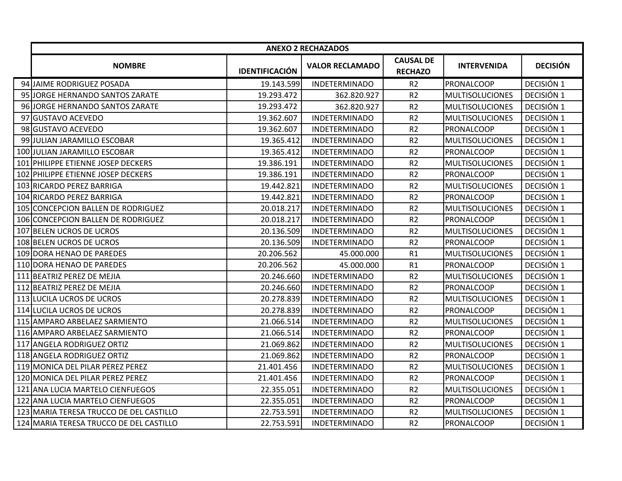|                                         |                       | <b>ANEXO 2 RECHAZADOS</b> |                                    |                        |                 |
|-----------------------------------------|-----------------------|---------------------------|------------------------------------|------------------------|-----------------|
| <b>NOMBRE</b>                           | <b>IDENTIFICACIÓN</b> | <b>VALOR RECLAMADO</b>    | <b>CAUSAL DE</b><br><b>RECHAZO</b> | <b>INTERVENIDA</b>     | <b>DECISIÓN</b> |
| 94 JAIME RODRIGUEZ POSADA               | 19.143.599            | <b>INDETERMINADO</b>      | R <sub>2</sub>                     | PRONALCOOP             | DECISIÓN 1      |
| 95 JORGE HERNANDO SANTOS ZARATE         | 19.293.472            | 362.820.927               | R <sub>2</sub>                     | <b>MULTISOLUCIONES</b> | DECISIÓN 1      |
| 96 JORGE HERNANDO SANTOS ZARATE         | 19.293.472            | 362.820.927               | R <sub>2</sub>                     | <b>MULTISOLUCIONES</b> | DECISIÓN 1      |
| 97 GUSTAVO ACEVEDO                      | 19.362.607            | <b>INDETERMINADO</b>      | R <sub>2</sub>                     | <b>MULTISOLUCIONES</b> | DECISIÓN 1      |
| 98 GUSTAVO ACEVEDO                      | 19.362.607            | <b>INDETERMINADO</b>      | R <sub>2</sub>                     | PRONALCOOP             | DECISIÓN 1      |
| 99 JULIAN JARAMILLO ESCOBAR             | 19.365.412            | <b>INDETERMINADO</b>      | R <sub>2</sub>                     | <b>MULTISOLUCIONES</b> | DECISIÓN 1      |
| 100 JULIAN JARAMILLO ESCOBAR            | 19.365.412            | <b>INDETERMINADO</b>      | R <sub>2</sub>                     | PRONALCOOP             | DECISIÓN 1      |
| 101 PHILIPPE ETIENNE JOSEP DECKERS      | 19.386.191            | <b>INDETERMINADO</b>      | R <sub>2</sub>                     | <b>MULTISOLUCIONES</b> | DECISIÓN 1      |
| 102 PHILIPPE ETIENNE JOSEP DECKERS      | 19.386.191            | <b>INDETERMINADO</b>      | R <sub>2</sub>                     | PRONALCOOP             | DECISIÓN 1      |
| 103 RICARDO PEREZ BARRIGA               | 19.442.821            | <b>INDETERMINADO</b>      | R <sub>2</sub>                     | <b>MULTISOLUCIONES</b> | DECISIÓN 1      |
| 104 RICARDO PEREZ BARRIGA               | 19.442.821            | <b>INDETERMINADO</b>      | R <sub>2</sub>                     | PRONALCOOP             | DECISIÓN 1      |
| 105 CONCEPCION BALLEN DE RODRIGUEZ      | 20.018.217            | <b>INDETERMINADO</b>      | R <sub>2</sub>                     | <b>MULTISOLUCIONES</b> | DECISIÓN 1      |
| 106 CONCEPCION BALLEN DE RODRIGUEZ      | 20.018.217            | <b>INDETERMINADO</b>      | R <sub>2</sub>                     | PRONALCOOP             | DECISIÓN 1      |
| 107 BELEN UCROS DE UCROS                | 20.136.509            | <b>INDETERMINADO</b>      | R <sub>2</sub>                     | <b>MULTISOLUCIONES</b> | DECISIÓN 1      |
| 108 BELEN UCROS DE UCROS                | 20.136.509            | <b>INDETERMINADO</b>      | R <sub>2</sub>                     | <b>PRONALCOOP</b>      | DECISIÓN 1      |
| 109 DORA HENAO DE PAREDES               | 20.206.562            | 45.000.000                | R1                                 | <b>MULTISOLUCIONES</b> | DECISIÓN 1      |
| 110 DORA HENAO DE PAREDES               | 20.206.562            | 45.000.000                | R1                                 | <b>PRONALCOOP</b>      | DECISIÓN 1      |
| 111 BEATRIZ PEREZ DE MEJIA              | 20.246.660            | <b>INDETERMINADO</b>      | R <sub>2</sub>                     | <b>MULTISOLUCIONES</b> | DECISIÓN 1      |
| 112 BEATRIZ PEREZ DE MEJIA              | 20.246.660            | <b>INDETERMINADO</b>      | R <sub>2</sub>                     | PRONALCOOP             | DECISIÓN 1      |
| 113 LUCILA UCROS DE UCROS               | 20.278.839            | <b>INDETERMINADO</b>      | R <sub>2</sub>                     | <b>MULTISOLUCIONES</b> | DECISIÓN 1      |
| 114 LUCILA UCROS DE UCROS               | 20.278.839            | <b>INDETERMINADO</b>      | R <sub>2</sub>                     | PRONALCOOP             | DECISIÓN 1      |
| 115 AMPARO ARBELAEZ SARMIENTO           | 21.066.514            | <b>INDETERMINADO</b>      | R <sub>2</sub>                     | <b>MULTISOLUCIONES</b> | DECISIÓN 1      |
| 116 AMPARO ARBELAEZ SARMIENTO           | 21.066.514            | <b>INDETERMINADO</b>      | R <sub>2</sub>                     | PRONALCOOP             | DECISIÓN 1      |
| 117 ANGELA RODRIGUEZ ORTIZ              | 21.069.862            | <b>INDETERMINADO</b>      | R <sub>2</sub>                     | <b>MULTISOLUCIONES</b> | DECISIÓN 1      |
| 118 ANGELA RODRIGUEZ ORTIZ              | 21.069.862            | <b>INDETERMINADO</b>      | R <sub>2</sub>                     | PRONALCOOP             | DECISIÓN 1      |
| 119 MONICA DEL PILAR PEREZ PEREZ        | 21.401.456            | <b>INDETERMINADO</b>      | R <sub>2</sub>                     | <b>MULTISOLUCIONES</b> | DECISIÓN 1      |
| 120 MONICA DEL PILAR PEREZ PEREZ        | 21.401.456            | <b>INDETERMINADO</b>      | R <sub>2</sub>                     | <b>PRONALCOOP</b>      | DECISIÓN 1      |
| 121 ANA LUCIA MARTELO CIENFUEGOS        | 22.355.051            | <b>INDETERMINADO</b>      | R <sub>2</sub>                     | <b>MULTISOLUCIONES</b> | DECISIÓN 1      |
| 122 ANA LUCIA MARTELO CIENFUEGOS        | 22.355.051            | <b>INDETERMINADO</b>      | R <sub>2</sub>                     | <b>PRONALCOOP</b>      | DECISIÓN 1      |
| 123 MARIA TERESA TRUCCO DE DEL CASTILLO | 22.753.591            | <b>INDETERMINADO</b>      | R <sub>2</sub>                     | <b>MULTISOLUCIONES</b> | DECISIÓN 1      |
| 124 MARIA TERESA TRUCCO DE DEL CASTILLO | 22.753.591            | <b>INDETERMINADO</b>      | R <sub>2</sub>                     | PRONALCOOP             | DECISIÓN 1      |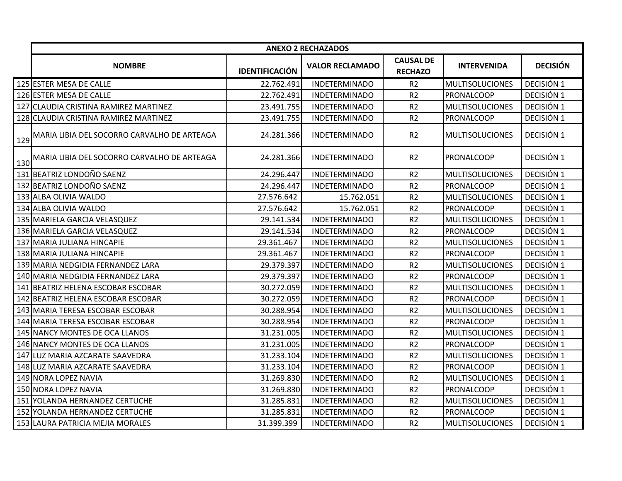|     |                                                 |                       | <b>ANEXO 2 RECHAZADOS</b> |                                    |                        |                 |
|-----|-------------------------------------------------|-----------------------|---------------------------|------------------------------------|------------------------|-----------------|
|     | <b>NOMBRE</b>                                   | <b>IDENTIFICACIÓN</b> | <b>VALOR RECLAMADO</b>    | <b>CAUSAL DE</b><br><b>RECHAZO</b> | <b>INTERVENIDA</b>     | <b>DECISIÓN</b> |
|     | 125 ESTER MESA DE CALLE                         | 22.762.491            | <b>INDETERMINADO</b>      | R <sub>2</sub>                     | <b>MULTISOLUCIONES</b> | DECISIÓN 1      |
|     | 126 ESTER MESA DE CALLE                         | 22.762.491            | <b>INDETERMINADO</b>      | R <sub>2</sub>                     | PRONALCOOP             | DECISIÓN 1      |
|     | 127 CLAUDIA CRISTINA RAMIREZ MARTINEZ           | 23.491.755            | <b>INDETERMINADO</b>      | R <sub>2</sub>                     | <b>MULTISOLUCIONES</b> | DECISIÓN 1      |
|     | 128 CLAUDIA CRISTINA RAMIREZ MARTINEZ           | 23.491.755            | <b>INDETERMINADO</b>      | R <sub>2</sub>                     | <b>PRONALCOOP</b>      | DECISIÓN 1      |
| 129 | MARIA LIBIA DEL SOCORRO CARVALHO DE ARTEAGA     | 24.281.366            | <b>INDETERMINADO</b>      | R <sub>2</sub>                     | <b>MULTISOLUCIONES</b> | DECISIÓN 1      |
|     | 130 MARIA LIBIA DEL SOCORRO CARVALHO DE ARTEAGA | 24.281.366            | <b>INDETERMINADO</b>      | R <sub>2</sub>                     | PRONALCOOP             | DECISIÓN 1      |
|     | 131 BEATRIZ LONDOÑO SAENZ                       | 24.296.447            | <b>INDETERMINADO</b>      | R <sub>2</sub>                     | <b>MULTISOLUCIONES</b> | DECISIÓN 1      |
|     | 132 BEATRIZ LONDOÑO SAENZ                       | 24.296.447            | <b>INDETERMINADO</b>      | R <sub>2</sub>                     | PRONALCOOP             | DECISIÓN 1      |
|     | 133 ALBA OLIVIA WALDO                           | 27.576.642            | 15.762.051                | R <sub>2</sub>                     | <b>MULTISOLUCIONES</b> | DECISIÓN 1      |
|     | 134 ALBA OLIVIA WALDO                           | 27.576.642            | 15.762.051                | R <sub>2</sub>                     | PRONALCOOP             | DECISIÓN 1      |
|     | 135 MARIELA GARCIA VELASQUEZ                    | 29.141.534            | <b>INDETERMINADO</b>      | R <sub>2</sub>                     | <b>MULTISOLUCIONES</b> | DECISIÓN 1      |
|     | 136 MARIELA GARCIA VELASQUEZ                    | 29.141.534            | <b>INDETERMINADO</b>      | R <sub>2</sub>                     | PRONALCOOP             | DECISIÓN 1      |
|     | 137 MARIA JULIANA HINCAPIE                      | 29.361.467            | <b>INDETERMINADO</b>      | R <sub>2</sub>                     | <b>MULTISOLUCIONES</b> | DECISIÓN 1      |
|     | 138 MARIA JULIANA HINCAPIE                      | 29.361.467            | <b>INDETERMINADO</b>      | R <sub>2</sub>                     | PRONALCOOP             | DECISIÓN 1      |
|     | 139 MARIA NEDGIDIA FERNANDEZ LARA               | 29.379.397            | <b>INDETERMINADO</b>      | R <sub>2</sub>                     | <b>MULTISOLUCIONES</b> | DECISIÓN 1      |
|     | 140 MARIA NEDGIDIA FERNANDEZ LARA               | 29.379.397            | <b>INDETERMINADO</b>      | R <sub>2</sub>                     | PRONALCOOP             | DECISIÓN 1      |
|     | 141 BEATRIZ HELENA ESCOBAR ESCOBAR              | 30.272.059            | <b>INDETERMINADO</b>      | R <sub>2</sub>                     | <b>MULTISOLUCIONES</b> | DECISIÓN 1      |
|     | 142 BEATRIZ HELENA ESCOBAR ESCOBAR              | 30.272.059            | <b>INDETERMINADO</b>      | R <sub>2</sub>                     | PRONALCOOP             | DECISIÓN 1      |
|     | 143 MARIA TERESA ESCOBAR ESCOBAR                | 30.288.954            | <b>INDETERMINADO</b>      | R <sub>2</sub>                     | <b>MULTISOLUCIONES</b> | DECISIÓN 1      |
|     | 144 MARIA TERESA ESCOBAR ESCOBAR                | 30.288.954            | <b>INDETERMINADO</b>      | R <sub>2</sub>                     | PRONALCOOP             | DECISIÓN 1      |
|     | 145 NANCY MONTES DE OCA LLANOS                  | 31.231.005            | <b>INDETERMINADO</b>      | R <sub>2</sub>                     | <b>MULTISOLUCIONES</b> | DECISIÓN 1      |
|     | 146 NANCY MONTES DE OCA LLANOS                  | 31.231.005            | <b>INDETERMINADO</b>      | R <sub>2</sub>                     | <b>PRONALCOOP</b>      | DECISIÓN 1      |
|     | 147 LUZ MARIA AZCARATE SAAVEDRA                 | 31.233.104            | <b>INDETERMINADO</b>      | R <sub>2</sub>                     | <b>MULTISOLUCIONES</b> | DECISIÓN 1      |
|     | 148 LUZ MARIA AZCARATE SAAVEDRA                 | 31.233.104            | <b>INDETERMINADO</b>      | R <sub>2</sub>                     | <b>PRONALCOOP</b>      | DECISIÓN 1      |
|     | 149 NORA LOPEZ NAVIA                            | 31.269.830            | <b>INDETERMINADO</b>      | R <sub>2</sub>                     | <b>MULTISOLUCIONES</b> | DECISIÓN 1      |
|     | 150 NORA LOPEZ NAVIA                            | 31.269.830            | <b>INDETERMINADO</b>      | R <sub>2</sub>                     | PRONALCOOP             | DECISIÓN 1      |
|     | 151 YOLANDA HERNANDEZ CERTUCHE                  | 31.285.831            | <b>INDETERMINADO</b>      | R <sub>2</sub>                     | <b>MULTISOLUCIONES</b> | DECISIÓN 1      |
|     | 152 YOLANDA HERNANDEZ CERTUCHE                  | 31.285.831            | <b>INDETERMINADO</b>      | R <sub>2</sub>                     | PRONALCOOP             | DECISIÓN 1      |
|     | 153 LAURA PATRICIA MEJIA MORALES                | 31.399.399            | <b>INDETERMINADO</b>      | R <sub>2</sub>                     | <b>MULTISOLUCIONES</b> | DECISIÓN 1      |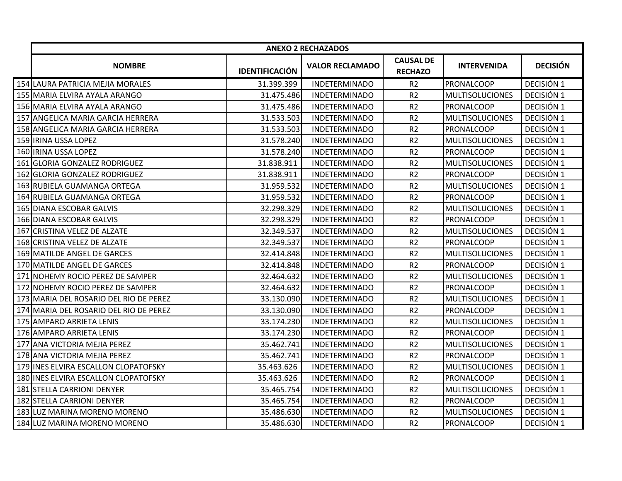|                                        |                       | <b>ANEXO 2 RECHAZADOS</b> |                                    |                        |                 |
|----------------------------------------|-----------------------|---------------------------|------------------------------------|------------------------|-----------------|
| <b>NOMBRE</b>                          | <b>IDENTIFICACIÓN</b> | <b>VALOR RECLAMADO</b>    | <b>CAUSAL DE</b><br><b>RECHAZO</b> | <b>INTERVENIDA</b>     | <b>DECISIÓN</b> |
| 154 LAURA PATRICIA MEJIA MORALES       | 31.399.399            | <b>INDETERMINADO</b>      | R <sub>2</sub>                     | <b>PRONALCOOP</b>      | DECISIÓN 1      |
| 155 MARIA ELVIRA AYALA ARANGO          | 31.475.486            | <b>INDETERMINADO</b>      | R <sub>2</sub>                     | <b>MULTISOLUCIONES</b> | DECISIÓN 1      |
| 156 MARIA ELVIRA AYALA ARANGO          | 31.475.486            | <b>INDETERMINADO</b>      | R <sub>2</sub>                     | <b>PRONALCOOP</b>      | DECISIÓN 1      |
| 157 ANGELICA MARIA GARCIA HERRERA      | 31.533.503            | <b>INDETERMINADO</b>      | R <sub>2</sub>                     | <b>MULTISOLUCIONES</b> | DECISIÓN 1      |
| 158 ANGELICA MARIA GARCIA HERRERA      | 31.533.503            | <b>INDETERMINADO</b>      | R <sub>2</sub>                     | PRONALCOOP             | DECISIÓN 1      |
| 159 IRINA USSA LOPEZ                   | 31.578.240            | <b>INDETERMINADO</b>      | R <sub>2</sub>                     | <b>MULTISOLUCIONES</b> | DECISIÓN 1      |
| 160 IRINA USSA LOPEZ                   | 31.578.240            | <b>INDETERMINADO</b>      | R <sub>2</sub>                     | <b>PRONALCOOP</b>      | DECISIÓN 1      |
| 161 GLORIA GONZALEZ RODRIGUEZ          | 31.838.911            | <b>INDETERMINADO</b>      | R <sub>2</sub>                     | <b>MULTISOLUCIONES</b> | DECISIÓN 1      |
| 162 GLORIA GONZALEZ RODRIGUEZ          | 31.838.911            | <b>INDETERMINADO</b>      | R <sub>2</sub>                     | <b>PRONALCOOP</b>      | DECISIÓN 1      |
| 163 RUBIELA GUAMANGA ORTEGA            | 31.959.532            | <b>INDETERMINADO</b>      | R <sub>2</sub>                     | <b>MULTISOLUCIONES</b> | DECISIÓN 1      |
| 164 RUBIELA GUAMANGA ORTEGA            | 31.959.532            | <b>INDETERMINADO</b>      | R <sub>2</sub>                     | PRONALCOOP             | DECISIÓN 1      |
| 165 DIANA ESCOBAR GALVIS               | 32.298.329            | <b>INDETERMINADO</b>      | R <sub>2</sub>                     | <b>MULTISOLUCIONES</b> | DECISIÓN 1      |
| 166 DIANA ESCOBAR GALVIS               | 32.298.329            | <b>INDETERMINADO</b>      | R2                                 | PRONALCOOP             | DECISIÓN 1      |
| 167 CRISTINA VELEZ DE ALZATE           | 32.349.537            | <b>INDETERMINADO</b>      | R <sub>2</sub>                     | <b>MULTISOLUCIONES</b> | DECISIÓN 1      |
| 168 CRISTINA VELEZ DE ALZATE           | 32.349.537            | <b>INDETERMINADO</b>      | R <sub>2</sub>                     | <b>PRONALCOOP</b>      | DECISIÓN 1      |
| 169 MATILDE ANGEL DE GARCES            | 32.414.848            | <b>INDETERMINADO</b>      | R <sub>2</sub>                     | <b>MULTISOLUCIONES</b> | DECISIÓN 1      |
| 170 MATILDE ANGEL DE GARCES            | 32.414.848            | <b>INDETERMINADO</b>      | R <sub>2</sub>                     | PRONALCOOP             | DECISIÓN 1      |
| 171 NOHEMY ROCIO PEREZ DE SAMPER       | 32.464.632            | <b>INDETERMINADO</b>      | R <sub>2</sub>                     | <b>MULTISOLUCIONES</b> | DECISIÓN 1      |
| 172 NOHEMY ROCIO PEREZ DE SAMPER       | 32.464.632            | <b>INDETERMINADO</b>      | R <sub>2</sub>                     | <b>PRONALCOOP</b>      | DECISIÓN 1      |
| 173 MARIA DEL ROSARIO DEL RIO DE PEREZ | 33.130.090            | <b>INDETERMINADO</b>      | R <sub>2</sub>                     | <b>MULTISOLUCIONES</b> | DECISIÓN 1      |
| 174 MARIA DEL ROSARIO DEL RIO DE PEREZ | 33.130.090            | <b>INDETERMINADO</b>      | R <sub>2</sub>                     | <b>PRONALCOOP</b>      | DECISIÓN 1      |
| 175 AMPARO ARRIETA LENIS               | 33.174.230            | <b>INDETERMINADO</b>      | R <sub>2</sub>                     | <b>MULTISOLUCIONES</b> | DECISIÓN 1      |
| 176 AMPARO ARRIETA LENIS               | 33.174.230            | <b>INDETERMINADO</b>      | R <sub>2</sub>                     | <b>PRONALCOOP</b>      | DECISIÓN 1      |
| 177 ANA VICTORIA MEJIA PEREZ           | 35.462.741            | <b>INDETERMINADO</b>      | R2                                 | <b>MULTISOLUCIONES</b> | DECISIÓN 1      |
| 178 ANA VICTORIA MEJIA PEREZ           | 35.462.741            | <b>INDETERMINADO</b>      | R <sub>2</sub>                     | <b>PRONALCOOP</b>      | DECISIÓN 1      |
| 179 INES ELVIRA ESCALLON CLOPATOFSKY   | 35.463.626            | <b>INDETERMINADO</b>      | R <sub>2</sub>                     | MULTISOLUCIONES        | DECISIÓN 1      |
| 180 INES ELVIRA ESCALLON CLOPATOFSKY   | 35.463.626            | <b>INDETERMINADO</b>      | R <sub>2</sub>                     | PRONALCOOP             | DECISIÓN 1      |
| 181 STELLA CARRIONI DENYER             | 35.465.754            | <b>INDETERMINADO</b>      | R <sub>2</sub>                     | <b>MULTISOLUCIONES</b> | DECISIÓN 1      |
| 182 STELLA CARRIONI DENYER             | 35.465.754            | <b>INDETERMINADO</b>      | R <sub>2</sub>                     | PRONALCOOP             | DECISIÓN 1      |
| 183 LUZ MARINA MORENO MORENO           | 35.486.630            | <b>INDETERMINADO</b>      | R2                                 | <b>MULTISOLUCIONES</b> | DECISIÓN 1      |
| 184 LUZ MARINA MORENO MORENO           | 35.486.630            | <b>INDETERMINADO</b>      | R <sub>2</sub>                     | <b>PRONALCOOP</b>      | DECISIÓN 1      |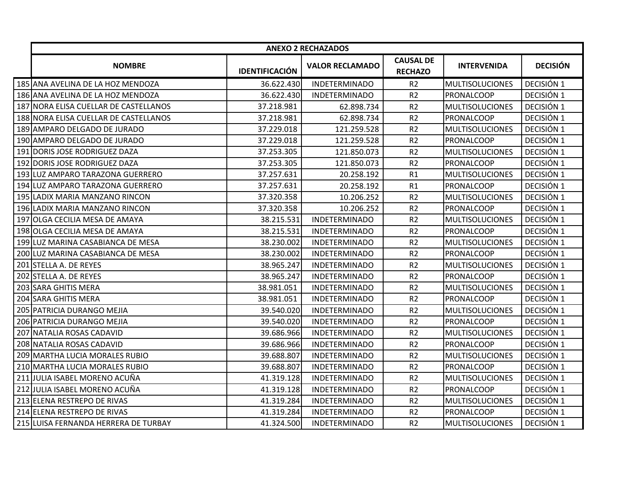| <b>CAUSAL DE</b><br><b>INTERVENIDA</b><br><b>NOMBRE</b><br><b>VALOR RECLAMADO</b><br><b>IDENTIFICACIÓN</b><br><b>RECHAZO</b><br>185 ANA AVELINA DE LA HOZ MENDOZA<br>36.622.430<br><b>INDETERMINADO</b><br>R <sub>2</sub><br><b>MULTISOLUCIONES</b><br>R <sub>2</sub><br>186 ANA AVELINA DE LA HOZ MENDOZA<br>36.622.430<br><b>INDETERMINADO</b><br><b>PRONALCOOP</b><br>187 NORA ELISA CUELLAR DE CASTELLANOS<br>37.218.981<br>62.898.734<br>R <sub>2</sub><br><b>MULTISOLUCIONES</b><br>R <sub>2</sub><br>188 NORA ELISA CUELLAR DE CASTELLANOS<br>62.898.734<br>37.218.981<br><b>PRONALCOOP</b><br>189 AMPARO DELGADO DE JURADO<br>37.229.018<br>121.259.528<br>R <sub>2</sub><br><b>MULTISOLUCIONES</b><br>R <sub>2</sub><br>190 AMPARO DELGADO DE JURADO<br>37.229.018<br>121.259.528<br>PRONALCOOP<br>R <sub>2</sub><br>191 DORIS JOSE RODRIGUEZ DAZA<br>37.253.305<br>121.850.073<br><b>MULTISOLUCIONES</b><br><b>DORIS JOSE RODRIGUEZ DAZA</b><br>37.253.305<br>R <sub>2</sub><br>192<br>121.850.073<br><b>PRONALCOOP</b><br>193 LUZ AMPARO TARAZONA GUERRERO<br>37.257.631<br>20.258.192<br>R1<br><b>MULTISOLUCIONES</b><br>37.257.631<br>194 LUZ AMPARO TARAZONA GUERRERO<br>20.258.192<br>R1<br>PRONALCOOP<br>195 LADIX MARIA MANZANO RINCON<br>R <sub>2</sub><br>37.320.358<br>10.206.252<br><b>MULTISOLUCIONES</b><br>196 LADIX MARIA MANZANO RINCON<br>37.320.358<br>10.206.252<br>R <sub>2</sub><br><b>PRONALCOOP</b><br>R <sub>2</sub><br>197 OLGA CECILIA MESA DE AMAYA<br>38.215.531<br><b>INDETERMINADO</b><br><b>MULTISOLUCIONES</b><br>38.215.531<br>R <sub>2</sub><br>198 OLGA CECILIA MESA DE AMAYA<br><b>INDETERMINADO</b><br><b>PRONALCOOP</b><br>R <sub>2</sub><br>199 LUZ MARINA CASABIANCA DE MESA<br>38.230.002<br><b>INDETERMINADO</b><br><b>MULTISOLUCIONES</b><br>R <sub>2</sub><br>200 LUZ MARINA CASABIANCA DE MESA<br>38.230.002<br><b>INDETERMINADO</b><br><b>PRONALCOOP</b><br>201 STELLA A. DE REYES<br>38.965.247<br><b>INDETERMINADO</b><br>R <sub>2</sub><br><b>MULTISOLUCIONES</b><br>R <sub>2</sub><br>202 STELLA A. DE REYES<br>38.965.247<br><b>INDETERMINADO</b><br>PRONALCOOP<br>38.981.051<br>R <sub>2</sub><br>203 SARA GHITIS MERA<br><b>INDETERMINADO</b><br><b>MULTISOLUCIONES</b><br>R <sub>2</sub><br>38.981.051<br>204 SARA GHITIS MERA<br><b>INDETERMINADO</b><br><b>PRONALCOOP</b><br>R <sub>2</sub><br>205 PATRICIA DURANGO MEJIA<br>39.540.020<br><b>INDETERMINADO</b><br><b>MULTISOLUCIONES</b><br>R <sub>2</sub><br>206 PATRICIA DURANGO MEJIA<br>39.540.020<br><b>INDETERMINADO</b><br><b>PRONALCOOP</b><br>R <sub>2</sub><br>207 NATALIA ROSAS CADAVID<br>39.686.966<br><b>MULTISOLUCIONES</b><br><b>INDETERMINADO</b><br>208 NATALIA ROSAS CADAVID<br>R <sub>2</sub><br>39.686.966<br><b>INDETERMINADO</b><br><b>PRONALCOOP</b><br>209 MARTHA LUCIA MORALES RUBIO<br>39.688.807<br>R <sub>2</sub><br><b>INDETERMINADO</b><br><b>MULTISOLUCIONES</b> |                                |            | <b>ANEXO 2 RECHAZADOS</b> |                |            |                 |
|---------------------------------------------------------------------------------------------------------------------------------------------------------------------------------------------------------------------------------------------------------------------------------------------------------------------------------------------------------------------------------------------------------------------------------------------------------------------------------------------------------------------------------------------------------------------------------------------------------------------------------------------------------------------------------------------------------------------------------------------------------------------------------------------------------------------------------------------------------------------------------------------------------------------------------------------------------------------------------------------------------------------------------------------------------------------------------------------------------------------------------------------------------------------------------------------------------------------------------------------------------------------------------------------------------------------------------------------------------------------------------------------------------------------------------------------------------------------------------------------------------------------------------------------------------------------------------------------------------------------------------------------------------------------------------------------------------------------------------------------------------------------------------------------------------------------------------------------------------------------------------------------------------------------------------------------------------------------------------------------------------------------------------------------------------------------------------------------------------------------------------------------------------------------------------------------------------------------------------------------------------------------------------------------------------------------------------------------------------------------------------------------------------------------------------------------------------------------------------------------------------------------------------------------------------------------------------------------------------------------------------------------------------------------------------------------------------------------------------------------------------------------------------------------------------------------------------------------------------------------------------------------------------------------|--------------------------------|------------|---------------------------|----------------|------------|-----------------|
|                                                                                                                                                                                                                                                                                                                                                                                                                                                                                                                                                                                                                                                                                                                                                                                                                                                                                                                                                                                                                                                                                                                                                                                                                                                                                                                                                                                                                                                                                                                                                                                                                                                                                                                                                                                                                                                                                                                                                                                                                                                                                                                                                                                                                                                                                                                                                                                                                                                                                                                                                                                                                                                                                                                                                                                                                                                                                                                     |                                |            |                           |                |            | <b>DECISIÓN</b> |
|                                                                                                                                                                                                                                                                                                                                                                                                                                                                                                                                                                                                                                                                                                                                                                                                                                                                                                                                                                                                                                                                                                                                                                                                                                                                                                                                                                                                                                                                                                                                                                                                                                                                                                                                                                                                                                                                                                                                                                                                                                                                                                                                                                                                                                                                                                                                                                                                                                                                                                                                                                                                                                                                                                                                                                                                                                                                                                                     |                                |            |                           |                |            | DECISIÓN 1      |
|                                                                                                                                                                                                                                                                                                                                                                                                                                                                                                                                                                                                                                                                                                                                                                                                                                                                                                                                                                                                                                                                                                                                                                                                                                                                                                                                                                                                                                                                                                                                                                                                                                                                                                                                                                                                                                                                                                                                                                                                                                                                                                                                                                                                                                                                                                                                                                                                                                                                                                                                                                                                                                                                                                                                                                                                                                                                                                                     |                                |            |                           |                |            | DECISIÓN 1      |
|                                                                                                                                                                                                                                                                                                                                                                                                                                                                                                                                                                                                                                                                                                                                                                                                                                                                                                                                                                                                                                                                                                                                                                                                                                                                                                                                                                                                                                                                                                                                                                                                                                                                                                                                                                                                                                                                                                                                                                                                                                                                                                                                                                                                                                                                                                                                                                                                                                                                                                                                                                                                                                                                                                                                                                                                                                                                                                                     |                                |            |                           |                |            | DECISIÓN 1      |
|                                                                                                                                                                                                                                                                                                                                                                                                                                                                                                                                                                                                                                                                                                                                                                                                                                                                                                                                                                                                                                                                                                                                                                                                                                                                                                                                                                                                                                                                                                                                                                                                                                                                                                                                                                                                                                                                                                                                                                                                                                                                                                                                                                                                                                                                                                                                                                                                                                                                                                                                                                                                                                                                                                                                                                                                                                                                                                                     |                                |            |                           |                |            | DECISIÓN 1      |
|                                                                                                                                                                                                                                                                                                                                                                                                                                                                                                                                                                                                                                                                                                                                                                                                                                                                                                                                                                                                                                                                                                                                                                                                                                                                                                                                                                                                                                                                                                                                                                                                                                                                                                                                                                                                                                                                                                                                                                                                                                                                                                                                                                                                                                                                                                                                                                                                                                                                                                                                                                                                                                                                                                                                                                                                                                                                                                                     |                                |            |                           |                |            | DECISIÓN 1      |
|                                                                                                                                                                                                                                                                                                                                                                                                                                                                                                                                                                                                                                                                                                                                                                                                                                                                                                                                                                                                                                                                                                                                                                                                                                                                                                                                                                                                                                                                                                                                                                                                                                                                                                                                                                                                                                                                                                                                                                                                                                                                                                                                                                                                                                                                                                                                                                                                                                                                                                                                                                                                                                                                                                                                                                                                                                                                                                                     |                                |            |                           |                |            | DECISIÓN 1      |
|                                                                                                                                                                                                                                                                                                                                                                                                                                                                                                                                                                                                                                                                                                                                                                                                                                                                                                                                                                                                                                                                                                                                                                                                                                                                                                                                                                                                                                                                                                                                                                                                                                                                                                                                                                                                                                                                                                                                                                                                                                                                                                                                                                                                                                                                                                                                                                                                                                                                                                                                                                                                                                                                                                                                                                                                                                                                                                                     |                                |            |                           |                |            | DECISIÓN 1      |
|                                                                                                                                                                                                                                                                                                                                                                                                                                                                                                                                                                                                                                                                                                                                                                                                                                                                                                                                                                                                                                                                                                                                                                                                                                                                                                                                                                                                                                                                                                                                                                                                                                                                                                                                                                                                                                                                                                                                                                                                                                                                                                                                                                                                                                                                                                                                                                                                                                                                                                                                                                                                                                                                                                                                                                                                                                                                                                                     |                                |            |                           |                |            | DECISIÓN 1      |
|                                                                                                                                                                                                                                                                                                                                                                                                                                                                                                                                                                                                                                                                                                                                                                                                                                                                                                                                                                                                                                                                                                                                                                                                                                                                                                                                                                                                                                                                                                                                                                                                                                                                                                                                                                                                                                                                                                                                                                                                                                                                                                                                                                                                                                                                                                                                                                                                                                                                                                                                                                                                                                                                                                                                                                                                                                                                                                                     |                                |            |                           |                |            | DECISIÓN 1      |
|                                                                                                                                                                                                                                                                                                                                                                                                                                                                                                                                                                                                                                                                                                                                                                                                                                                                                                                                                                                                                                                                                                                                                                                                                                                                                                                                                                                                                                                                                                                                                                                                                                                                                                                                                                                                                                                                                                                                                                                                                                                                                                                                                                                                                                                                                                                                                                                                                                                                                                                                                                                                                                                                                                                                                                                                                                                                                                                     |                                |            |                           |                |            | DECISIÓN 1      |
|                                                                                                                                                                                                                                                                                                                                                                                                                                                                                                                                                                                                                                                                                                                                                                                                                                                                                                                                                                                                                                                                                                                                                                                                                                                                                                                                                                                                                                                                                                                                                                                                                                                                                                                                                                                                                                                                                                                                                                                                                                                                                                                                                                                                                                                                                                                                                                                                                                                                                                                                                                                                                                                                                                                                                                                                                                                                                                                     |                                |            |                           |                |            | DECISIÓN 1      |
|                                                                                                                                                                                                                                                                                                                                                                                                                                                                                                                                                                                                                                                                                                                                                                                                                                                                                                                                                                                                                                                                                                                                                                                                                                                                                                                                                                                                                                                                                                                                                                                                                                                                                                                                                                                                                                                                                                                                                                                                                                                                                                                                                                                                                                                                                                                                                                                                                                                                                                                                                                                                                                                                                                                                                                                                                                                                                                                     |                                |            |                           |                |            | DECISIÓN 1      |
|                                                                                                                                                                                                                                                                                                                                                                                                                                                                                                                                                                                                                                                                                                                                                                                                                                                                                                                                                                                                                                                                                                                                                                                                                                                                                                                                                                                                                                                                                                                                                                                                                                                                                                                                                                                                                                                                                                                                                                                                                                                                                                                                                                                                                                                                                                                                                                                                                                                                                                                                                                                                                                                                                                                                                                                                                                                                                                                     |                                |            |                           |                |            | DECISIÓN 1      |
|                                                                                                                                                                                                                                                                                                                                                                                                                                                                                                                                                                                                                                                                                                                                                                                                                                                                                                                                                                                                                                                                                                                                                                                                                                                                                                                                                                                                                                                                                                                                                                                                                                                                                                                                                                                                                                                                                                                                                                                                                                                                                                                                                                                                                                                                                                                                                                                                                                                                                                                                                                                                                                                                                                                                                                                                                                                                                                                     |                                |            |                           |                |            | DECISIÓN 1      |
|                                                                                                                                                                                                                                                                                                                                                                                                                                                                                                                                                                                                                                                                                                                                                                                                                                                                                                                                                                                                                                                                                                                                                                                                                                                                                                                                                                                                                                                                                                                                                                                                                                                                                                                                                                                                                                                                                                                                                                                                                                                                                                                                                                                                                                                                                                                                                                                                                                                                                                                                                                                                                                                                                                                                                                                                                                                                                                                     |                                |            |                           |                |            | DECISIÓN 1      |
|                                                                                                                                                                                                                                                                                                                                                                                                                                                                                                                                                                                                                                                                                                                                                                                                                                                                                                                                                                                                                                                                                                                                                                                                                                                                                                                                                                                                                                                                                                                                                                                                                                                                                                                                                                                                                                                                                                                                                                                                                                                                                                                                                                                                                                                                                                                                                                                                                                                                                                                                                                                                                                                                                                                                                                                                                                                                                                                     |                                |            |                           |                |            | DECISIÓN 1      |
|                                                                                                                                                                                                                                                                                                                                                                                                                                                                                                                                                                                                                                                                                                                                                                                                                                                                                                                                                                                                                                                                                                                                                                                                                                                                                                                                                                                                                                                                                                                                                                                                                                                                                                                                                                                                                                                                                                                                                                                                                                                                                                                                                                                                                                                                                                                                                                                                                                                                                                                                                                                                                                                                                                                                                                                                                                                                                                                     |                                |            |                           |                |            | DECISIÓN 1      |
|                                                                                                                                                                                                                                                                                                                                                                                                                                                                                                                                                                                                                                                                                                                                                                                                                                                                                                                                                                                                                                                                                                                                                                                                                                                                                                                                                                                                                                                                                                                                                                                                                                                                                                                                                                                                                                                                                                                                                                                                                                                                                                                                                                                                                                                                                                                                                                                                                                                                                                                                                                                                                                                                                                                                                                                                                                                                                                                     |                                |            |                           |                |            | DECISIÓN 1      |
|                                                                                                                                                                                                                                                                                                                                                                                                                                                                                                                                                                                                                                                                                                                                                                                                                                                                                                                                                                                                                                                                                                                                                                                                                                                                                                                                                                                                                                                                                                                                                                                                                                                                                                                                                                                                                                                                                                                                                                                                                                                                                                                                                                                                                                                                                                                                                                                                                                                                                                                                                                                                                                                                                                                                                                                                                                                                                                                     |                                |            |                           |                |            | DECISIÓN 1      |
|                                                                                                                                                                                                                                                                                                                                                                                                                                                                                                                                                                                                                                                                                                                                                                                                                                                                                                                                                                                                                                                                                                                                                                                                                                                                                                                                                                                                                                                                                                                                                                                                                                                                                                                                                                                                                                                                                                                                                                                                                                                                                                                                                                                                                                                                                                                                                                                                                                                                                                                                                                                                                                                                                                                                                                                                                                                                                                                     |                                |            |                           |                |            | DECISIÓN 1      |
|                                                                                                                                                                                                                                                                                                                                                                                                                                                                                                                                                                                                                                                                                                                                                                                                                                                                                                                                                                                                                                                                                                                                                                                                                                                                                                                                                                                                                                                                                                                                                                                                                                                                                                                                                                                                                                                                                                                                                                                                                                                                                                                                                                                                                                                                                                                                                                                                                                                                                                                                                                                                                                                                                                                                                                                                                                                                                                                     |                                |            |                           |                |            | DECISIÓN 1      |
|                                                                                                                                                                                                                                                                                                                                                                                                                                                                                                                                                                                                                                                                                                                                                                                                                                                                                                                                                                                                                                                                                                                                                                                                                                                                                                                                                                                                                                                                                                                                                                                                                                                                                                                                                                                                                                                                                                                                                                                                                                                                                                                                                                                                                                                                                                                                                                                                                                                                                                                                                                                                                                                                                                                                                                                                                                                                                                                     |                                |            |                           |                |            | DECISIÓN 1      |
|                                                                                                                                                                                                                                                                                                                                                                                                                                                                                                                                                                                                                                                                                                                                                                                                                                                                                                                                                                                                                                                                                                                                                                                                                                                                                                                                                                                                                                                                                                                                                                                                                                                                                                                                                                                                                                                                                                                                                                                                                                                                                                                                                                                                                                                                                                                                                                                                                                                                                                                                                                                                                                                                                                                                                                                                                                                                                                                     |                                |            |                           |                |            | DECISIÓN 1      |
|                                                                                                                                                                                                                                                                                                                                                                                                                                                                                                                                                                                                                                                                                                                                                                                                                                                                                                                                                                                                                                                                                                                                                                                                                                                                                                                                                                                                                                                                                                                                                                                                                                                                                                                                                                                                                                                                                                                                                                                                                                                                                                                                                                                                                                                                                                                                                                                                                                                                                                                                                                                                                                                                                                                                                                                                                                                                                                                     |                                |            |                           |                |            | DECISIÓN 1      |
|                                                                                                                                                                                                                                                                                                                                                                                                                                                                                                                                                                                                                                                                                                                                                                                                                                                                                                                                                                                                                                                                                                                                                                                                                                                                                                                                                                                                                                                                                                                                                                                                                                                                                                                                                                                                                                                                                                                                                                                                                                                                                                                                                                                                                                                                                                                                                                                                                                                                                                                                                                                                                                                                                                                                                                                                                                                                                                                     |                                |            |                           |                |            | DECISIÓN 1      |
|                                                                                                                                                                                                                                                                                                                                                                                                                                                                                                                                                                                                                                                                                                                                                                                                                                                                                                                                                                                                                                                                                                                                                                                                                                                                                                                                                                                                                                                                                                                                                                                                                                                                                                                                                                                                                                                                                                                                                                                                                                                                                                                                                                                                                                                                                                                                                                                                                                                                                                                                                                                                                                                                                                                                                                                                                                                                                                                     | 210 MARTHA LUCIA MORALES RUBIO | 39.688.807 | <b>INDETERMINADO</b>      | R <sub>2</sub> | PRONALCOOP | DECISIÓN 1      |
| 211 JULIA ISABEL MORENO ACUÑA<br>41.319.128<br>R <sub>2</sub><br><b>MULTISOLUCIONES</b><br><b>INDETERMINADO</b>                                                                                                                                                                                                                                                                                                                                                                                                                                                                                                                                                                                                                                                                                                                                                                                                                                                                                                                                                                                                                                                                                                                                                                                                                                                                                                                                                                                                                                                                                                                                                                                                                                                                                                                                                                                                                                                                                                                                                                                                                                                                                                                                                                                                                                                                                                                                                                                                                                                                                                                                                                                                                                                                                                                                                                                                     |                                |            |                           |                |            | DECISIÓN 1      |
| 212 JULIA ISABEL MORENO ACUÑA<br>41.319.128<br><b>INDETERMINADO</b><br>R <sub>2</sub><br>PRONALCOOP                                                                                                                                                                                                                                                                                                                                                                                                                                                                                                                                                                                                                                                                                                                                                                                                                                                                                                                                                                                                                                                                                                                                                                                                                                                                                                                                                                                                                                                                                                                                                                                                                                                                                                                                                                                                                                                                                                                                                                                                                                                                                                                                                                                                                                                                                                                                                                                                                                                                                                                                                                                                                                                                                                                                                                                                                 |                                |            |                           |                |            | DECISIÓN 1      |
| R <sub>2</sub><br>213 ELENA RESTREPO DE RIVAS<br>41.319.284<br><b>INDETERMINADO</b><br><b>MULTISOLUCIONES</b>                                                                                                                                                                                                                                                                                                                                                                                                                                                                                                                                                                                                                                                                                                                                                                                                                                                                                                                                                                                                                                                                                                                                                                                                                                                                                                                                                                                                                                                                                                                                                                                                                                                                                                                                                                                                                                                                                                                                                                                                                                                                                                                                                                                                                                                                                                                                                                                                                                                                                                                                                                                                                                                                                                                                                                                                       |                                |            |                           |                |            | DECISIÓN 1      |
| 214 ELENA RESTREPO DE RIVAS<br>41.319.284<br><b>INDETERMINADO</b><br>R <sub>2</sub><br><b>PRONALCOOP</b>                                                                                                                                                                                                                                                                                                                                                                                                                                                                                                                                                                                                                                                                                                                                                                                                                                                                                                                                                                                                                                                                                                                                                                                                                                                                                                                                                                                                                                                                                                                                                                                                                                                                                                                                                                                                                                                                                                                                                                                                                                                                                                                                                                                                                                                                                                                                                                                                                                                                                                                                                                                                                                                                                                                                                                                                            |                                |            |                           |                |            | DECISIÓN 1      |
| 215 LUISA FERNANDA HERRERA DE TURBAY<br>41.324.500<br><b>INDETERMINADO</b><br>R <sub>2</sub><br><b>MULTISOLUCIONES</b>                                                                                                                                                                                                                                                                                                                                                                                                                                                                                                                                                                                                                                                                                                                                                                                                                                                                                                                                                                                                                                                                                                                                                                                                                                                                                                                                                                                                                                                                                                                                                                                                                                                                                                                                                                                                                                                                                                                                                                                                                                                                                                                                                                                                                                                                                                                                                                                                                                                                                                                                                                                                                                                                                                                                                                                              |                                |            |                           |                |            | DECISIÓN 1      |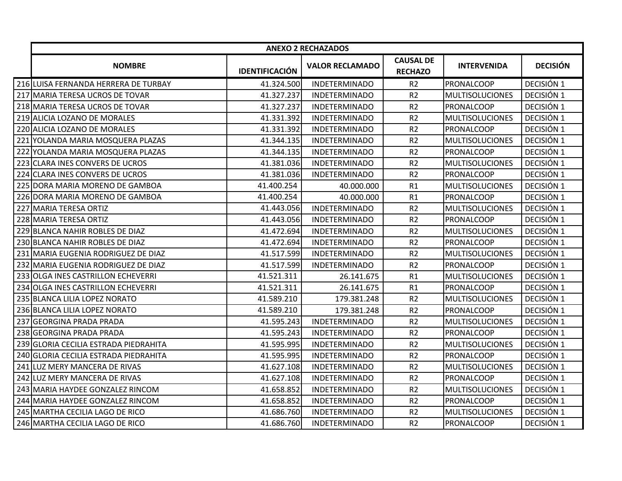|                                       |                       | <b>ANEXO 2 RECHAZADOS</b> |                                    |                        |                 |
|---------------------------------------|-----------------------|---------------------------|------------------------------------|------------------------|-----------------|
| <b>NOMBRE</b>                         | <b>IDENTIFICACIÓN</b> | <b>VALOR RECLAMADO</b>    | <b>CAUSAL DE</b><br><b>RECHAZO</b> | <b>INTERVENIDA</b>     | <b>DECISIÓN</b> |
| 216 LUISA FERNANDA HERRERA DE TURBAY  | 41.324.500            | <b>INDETERMINADO</b>      | R <sub>2</sub>                     | PRONALCOOP             | DECISIÓN 1      |
| 217 MARIA TERESA UCROS DE TOVAR       | 41.327.237            | <b>INDETERMINADO</b>      | R <sub>2</sub>                     | <b>MULTISOLUCIONES</b> | DECISIÓN 1      |
| 218 MARIA TERESA UCROS DE TOVAR       | 41.327.237            | <b>INDETERMINADO</b>      | R <sub>2</sub>                     | <b>PRONALCOOP</b>      | DECISIÓN 1      |
| 219 ALICIA LOZANO DE MORALES          | 41.331.392            | <b>INDETERMINADO</b>      | R <sub>2</sub>                     | <b>MULTISOLUCIONES</b> | DECISIÓN 1      |
| 220 ALICIA LOZANO DE MORALES          | 41.331.392            | <b>INDETERMINADO</b>      | R <sub>2</sub>                     | PRONALCOOP             | DECISIÓN 1      |
| 221 YOLANDA MARIA MOSQUERA PLAZAS     | 41.344.135            | <b>INDETERMINADO</b>      | R <sub>2</sub>                     | <b>MULTISOLUCIONES</b> | DECISIÓN 1      |
| 222 YOLANDA MARIA MOSQUERA PLAZAS     | 41.344.135            | <b>INDETERMINADO</b>      | R <sub>2</sub>                     | PRONALCOOP             | DECISIÓN 1      |
| 223 CLARA INES CONVERS DE UCROS       | 41.381.036            | <b>INDETERMINADO</b>      | R <sub>2</sub>                     | <b>MULTISOLUCIONES</b> | DECISIÓN 1      |
| 224 CLARA INES CONVERS DE UCROS       | 41.381.036            | <b>INDETERMINADO</b>      | R <sub>2</sub>                     | PRONALCOOP             | DECISIÓN 1      |
| 225 DORA MARIA MORENO DE GAMBOA       | 41.400.254            | 40.000.000                | R1                                 | <b>MULTISOLUCIONES</b> | DECISIÓN 1      |
| 226 DORA MARIA MORENO DE GAMBOA       | 41.400.254            | 40.000.000                | R1                                 | PRONALCOOP             | DECISIÓN 1      |
| 227 MARIA TERESA ORTIZ                | 41.443.056            | <b>INDETERMINADO</b>      | R <sub>2</sub>                     | <b>MULTISOLUCIONES</b> | DECISIÓN 1      |
| 228 MARIA TERESA ORTIZ                | 41.443.056            | <b>INDETERMINADO</b>      | R <sub>2</sub>                     | <b>PRONALCOOP</b>      | DECISIÓN 1      |
| 229 BLANCA NAHIR ROBLES DE DIAZ       | 41.472.694            | <b>INDETERMINADO</b>      | R <sub>2</sub>                     | <b>MULTISOLUCIONES</b> | DECISIÓN 1      |
| 230 BLANCA NAHIR ROBLES DE DIAZ       | 41.472.694            | <b>INDETERMINADO</b>      | R <sub>2</sub>                     | <b>PRONALCOOP</b>      | DECISIÓN 1      |
| 231 MARIA EUGENIA RODRIGUEZ DE DIAZ   | 41.517.599            | <b>INDETERMINADO</b>      | R <sub>2</sub>                     | <b>MULTISOLUCIONES</b> | DECISIÓN 1      |
| 232 MARIA EUGENIA RODRIGUEZ DE DIAZ   | 41.517.599            | <b>INDETERMINADO</b>      | R <sub>2</sub>                     | PRONALCOOP             | DECISIÓN 1      |
| 233 OLGA INES CASTRILLON ECHEVERRI    | 41.521.311            | 26.141.675                | R1                                 | <b>MULTISOLUCIONES</b> | DECISIÓN 1      |
| 234 OLGA INES CASTRILLON ECHEVERRI    | 41.521.311            | 26.141.675                | R1                                 | PRONALCOOP             | DECISIÓN 1      |
| 235 BLANCA LILIA LOPEZ NORATO         | 41.589.210            | 179.381.248               | R <sub>2</sub>                     | <b>MULTISOLUCIONES</b> | DECISIÓN 1      |
| 236 BLANCA LILIA LOPEZ NORATO         | 41.589.210            | 179.381.248               | R2                                 | <b>PRONALCOOP</b>      | DECISIÓN 1      |
| 237 GEORGINA PRADA PRADA              | 41.595.243            | <b>INDETERMINADO</b>      | R <sub>2</sub>                     | <b>MULTISOLUCIONES</b> | DECISIÓN 1      |
| 238 GEORGINA PRADA PRADA              | 41.595.243            | <b>INDETERMINADO</b>      | R <sub>2</sub>                     | <b>PRONALCOOP</b>      | DECISIÓN 1      |
| 239 GLORIA CECILIA ESTRADA PIEDRAHITA | 41.595.995            | <b>INDETERMINADO</b>      | R <sub>2</sub>                     | <b>MULTISOLUCIONES</b> | DECISIÓN 1      |
| 240 GLORIA CECILIA ESTRADA PIEDRAHITA | 41.595.995            | <b>INDETERMINADO</b>      | R <sub>2</sub>                     | PRONALCOOP             | DECISIÓN 1      |
| 241 LUZ MERY MANCERA DE RIVAS         | 41.627.108            | <b>INDETERMINADO</b>      | R <sub>2</sub>                     | <b>MULTISOLUCIONES</b> | DECISIÓN 1      |
| 242 LUZ MERY MANCERA DE RIVAS         | 41.627.108            | <b>INDETERMINADO</b>      | R <sub>2</sub>                     | PRONALCOOP             | DECISIÓN 1      |
| 243 MARIA HAYDEE GONZALEZ RINCOM      | 41.658.852            | <b>INDETERMINADO</b>      | R <sub>2</sub>                     | <b>MULTISOLUCIONES</b> | DECISIÓN 1      |
| 244 MARIA HAYDEE GONZALEZ RINCOM      | 41.658.852            | <b>INDETERMINADO</b>      | R <sub>2</sub>                     | PRONALCOOP             | DECISIÓN 1      |
| 245 MARTHA CECILIA LAGO DE RICO       | 41.686.760            | <b>INDETERMINADO</b>      | R <sub>2</sub>                     | <b>MULTISOLUCIONES</b> | DECISIÓN 1      |
| 246 MARTHA CECILIA LAGO DE RICO       | 41.686.760            | <b>INDETERMINADO</b>      | R <sub>2</sub>                     | PRONALCOOP             | DECISIÓN 1      |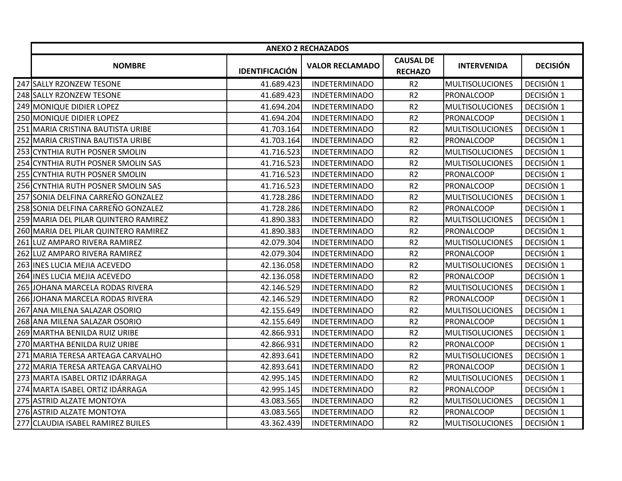|     |                                      |                       | <b>ANEXO 2 RECHAZADOS</b> |                                    |                        |                 |
|-----|--------------------------------------|-----------------------|---------------------------|------------------------------------|------------------------|-----------------|
|     | <b>NOMBRE</b>                        | <b>IDENTIFICACIÓN</b> | <b>VALOR RECLAMADO</b>    | <b>CAUSAL DE</b><br><b>RECHAZO</b> | <b>INTERVENIDA</b>     | <b>DECISIÓN</b> |
|     | 247 SALLY RZONZEW TESONE             | 41.689.423            | <b>INDETERMINADO</b>      | R <sub>2</sub>                     | <b>MULTISOLUCIONES</b> | DECISIÓN 1      |
|     | 248 SALLY RZONZEW TESONE             | 41.689.423            | <b>INDETERMINADO</b>      | R <sub>2</sub>                     | PRONALCOOP             | DECISIÓN 1      |
|     | 249 MONIQUE DIDIER LOPEZ             | 41.694.204            | <b>INDETERMINADO</b>      | R <sub>2</sub>                     | <b>MULTISOLUCIONES</b> | DECISIÓN 1      |
|     | 250 MONIQUE DIDIER LOPEZ             | 41.694.204            | <b>INDETERMINADO</b>      | R <sub>2</sub>                     | PRONALCOOP             | DECISIÓN 1      |
|     | 251 MARIA CRISTINA BAUTISTA URIBE    | 41.703.164            | <b>INDETERMINADO</b>      | R <sub>2</sub>                     | <b>MULTISOLUCIONES</b> | DECISIÓN 1      |
|     | 252 MARIA CRISTINA BAUTISTA URIBE    | 41.703.164            | <b>INDETERMINADO</b>      | R <sub>2</sub>                     | <b>PRONALCOOP</b>      | DECISIÓN 1      |
|     | 253 CYNTHIA RUTH POSNER SMOLIN       | 41.716.523            | <b>INDETERMINADO</b>      | R <sub>2</sub>                     | <b>MULTISOLUCIONES</b> | DECISIÓN 1      |
| 254 | CYNTHIA RUTH POSNER SMOLIN SAS       | 41.716.523            | <b>INDETERMINADO</b>      | R <sub>2</sub>                     | <b>MULTISOLUCIONES</b> | DECISIÓN 1      |
|     | 255 CYNTHIA RUTH POSNER SMOLIN       | 41.716.523            | <b>INDETERMINADO</b>      | R <sub>2</sub>                     | PRONALCOOP             | DECISIÓN 1      |
|     | 256 CYNTHIA RUTH POSNER SMOLIN SAS   | 41.716.523            | <b>INDETERMINADO</b>      | R <sub>2</sub>                     | <b>PRONALCOOP</b>      | DECISIÓN 1      |
|     | 257 SONIA DELFINA CARREÑO GONZALEZ   | 41.728.286            | <b>INDETERMINADO</b>      | R <sub>2</sub>                     | <b>MULTISOLUCIONES</b> | DECISIÓN 1      |
|     | 258 SONIA DELFINA CARREÑO GONZALEZ   | 41.728.286            | <b>INDETERMINADO</b>      | R <sub>2</sub>                     | <b>PRONALCOOP</b>      | DECISIÓN 1      |
|     | 259 MARIA DEL PILAR QUINTERO RAMIREZ | 41.890.383            | <b>INDETERMINADO</b>      | R <sub>2</sub>                     | <b>MULTISOLUCIONES</b> | DECISIÓN 1      |
|     | 260 MARIA DEL PILAR QUINTERO RAMIREZ | 41.890.383            | <b>INDETERMINADO</b>      | R <sub>2</sub>                     | PRONALCOOP             | DECISIÓN 1      |
| 261 | LUZ AMPARO RIVERA RAMIREZ            | 42.079.304            | <b>INDETERMINADO</b>      | R <sub>2</sub>                     | <b>MULTISOLUCIONES</b> | DECISIÓN 1      |
| 262 | LUZ AMPARO RIVERA RAMIREZ            | 42.079.304            | <b>INDETERMINADO</b>      | R <sub>2</sub>                     | <b>PRONALCOOP</b>      | DECISIÓN 1      |
|     | 263 INES LUCIA MEJIA ACEVEDO         | 42.136.058            | <b>INDETERMINADO</b>      | R <sub>2</sub>                     | <b>MULTISOLUCIONES</b> | DECISIÓN 1      |
|     | 264 INES LUCIA MEJIA ACEVEDO         | 42.136.058            | <b>INDETERMINADO</b>      | R <sub>2</sub>                     | PRONALCOOP             | DECISIÓN 1      |
|     | 265 JOHANA MARCELA RODAS RIVERA      | 42.146.529            | <b>INDETERMINADO</b>      | R <sub>2</sub>                     | <b>MULTISOLUCIONES</b> | DECISIÓN 1      |
|     | 266 JOHANA MARCELA RODAS RIVERA      | 42.146.529            | <b>INDETERMINADO</b>      | R2                                 | <b>PRONALCOOP</b>      | DECISIÓN 1      |
|     | 267 ANA MILENA SALAZAR OSORIO        | 42.155.649            | <b>INDETERMINADO</b>      | R <sub>2</sub>                     | <b>MULTISOLUCIONES</b> | DECISIÓN 1      |
|     | 268 ANA MILENA SALAZAR OSORIO        | 42.155.649            | <b>INDETERMINADO</b>      | R <sub>2</sub>                     | PRONALCOOP             | DECISIÓN 1      |
|     | 269 MARTHA BENILDA RUIZ URIBE        | 42.866.931            | <b>INDETERMINADO</b>      | R <sub>2</sub>                     | <b>MULTISOLUCIONES</b> | DECISIÓN 1      |
|     | 270 MARTHA BENILDA RUIZ URIBE        | 42.866.931            | <b>INDETERMINADO</b>      | R <sub>2</sub>                     | <b>PRONALCOOP</b>      | DECISIÓN 1      |
|     | 271 MARIA TERESA ARTEAGA CARVALHO    | 42.893.641            | <b>INDETERMINADO</b>      | R <sub>2</sub>                     | <b>MULTISOLUCIONES</b> | DECISIÓN 1      |
|     | 272 MARIA TERESA ARTEAGA CARVALHO    | 42.893.641            | <b>INDETERMINADO</b>      | R <sub>2</sub>                     | PRONALCOOP             | DECISIÓN 1      |
|     | 273 MARTA ISABEL ORTIZ IDÁRRAGA      | 42.995.145            | <b>INDETERMINADO</b>      | R <sub>2</sub>                     | <b>MULTISOLUCIONES</b> | DECISIÓN 1      |
|     | 274 MARTA ISABEL ORTIZ IDÁRRAGA      | 42.995.145            | <b>INDETERMINADO</b>      | R <sub>2</sub>                     | <b>PRONALCOOP</b>      | DECISIÓN 1      |
|     | 275 ASTRID ALZATE MONTOYA            | 43.083.565            | <b>INDETERMINADO</b>      | R <sub>2</sub>                     | <b>MULTISOLUCIONES</b> | DECISIÓN 1      |
|     | 276 ASTRID ALZATE MONTOYA            | 43.083.565            | <b>INDETERMINADO</b>      | R <sub>2</sub>                     | <b>PRONALCOOP</b>      | DECISIÓN 1      |
| 277 | <b>CLAUDIA ISABEL RAMIREZ BUILES</b> | 43.362.439            | <b>INDETERMINADO</b>      | R <sub>2</sub>                     | <b>MULTISOLUCIONES</b> | DECISIÓN 1      |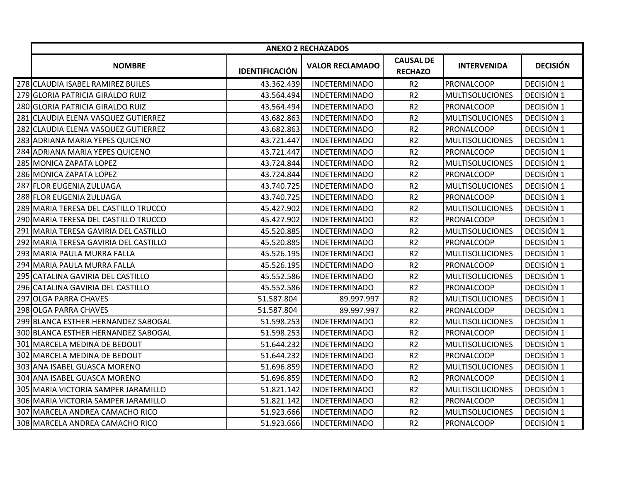|                                       |                       | <b>ANEXO 2 RECHAZADOS</b> |                                    |                        |                 |
|---------------------------------------|-----------------------|---------------------------|------------------------------------|------------------------|-----------------|
| <b>NOMBRE</b>                         | <b>IDENTIFICACIÓN</b> | <b>VALOR RECLAMADO</b>    | <b>CAUSAL DE</b><br><b>RECHAZO</b> | <b>INTERVENIDA</b>     | <b>DECISIÓN</b> |
| 278 CLAUDIA ISABEL RAMIREZ BUILES     | 43.362.439            | <b>INDETERMINADO</b>      | R <sub>2</sub>                     | PRONALCOOP             | DECISIÓN 1      |
| 279 GLORIA PATRICIA GIRALDO RUIZ      | 43.564.494            | <b>INDETERMINADO</b>      | R <sub>2</sub>                     | <b>MULTISOLUCIONES</b> | DECISIÓN 1      |
| 280 GLORIA PATRICIA GIRALDO RUIZ      | 43.564.494            | <b>INDETERMINADO</b>      | R <sub>2</sub>                     | <b>PRONALCOOP</b>      | DECISIÓN 1      |
| 281 CLAUDIA ELENA VASQUEZ GUTIERREZ   | 43.682.863            | <b>INDETERMINADO</b>      | R <sub>2</sub>                     | <b>MULTISOLUCIONES</b> | DECISIÓN 1      |
| 282 CLAUDIA ELENA VASQUEZ GUTIERREZ   | 43.682.863            | <b>INDETERMINADO</b>      | R <sub>2</sub>                     | PRONALCOOP             | DECISIÓN 1      |
| 283 ADRIANA MARIA YEPES QUICENO       | 43.721.447            | <b>INDETERMINADO</b>      | R <sub>2</sub>                     | <b>MULTISOLUCIONES</b> | DECISIÓN 1      |
| 284 ADRIANA MARIA YEPES QUICENO       | 43.721.447            | <b>INDETERMINADO</b>      | R <sub>2</sub>                     | PRONALCOOP             | DECISIÓN 1      |
| 285 MONICA ZAPATA LOPEZ               | 43.724.844            | <b>INDETERMINADO</b>      | R <sub>2</sub>                     | <b>MULTISOLUCIONES</b> | DECISIÓN 1      |
| 286 MONICA ZAPATA LOPEZ               | 43.724.844            | <b>INDETERMINADO</b>      | R <sub>2</sub>                     | PRONALCOOP             | DECISIÓN 1      |
| 287 FLOR EUGENIA ZULUAGA              | 43.740.725            | <b>INDETERMINADO</b>      | R <sub>2</sub>                     | <b>MULTISOLUCIONES</b> | DECISIÓN 1      |
| 288 FLOR EUGENIA ZULUAGA              | 43.740.725            | <b>INDETERMINADO</b>      | R <sub>2</sub>                     | PRONALCOOP             | DECISIÓN 1      |
| 289 MARIA TERESA DEL CASTILLO TRUCCO  | 45.427.902            | <b>INDETERMINADO</b>      | R <sub>2</sub>                     | <b>MULTISOLUCIONES</b> | DECISIÓN 1      |
| 290 MARIA TERESA DEL CASTILLO TRUCCO  | 45.427.902            | <b>INDETERMINADO</b>      | R <sub>2</sub>                     | <b>PRONALCOOP</b>      | DECISIÓN 1      |
| 291 MARIA TERESA GAVIRIA DEL CASTILLO | 45.520.885            | <b>INDETERMINADO</b>      | R <sub>2</sub>                     | <b>MULTISOLUCIONES</b> | DECISIÓN 1      |
| 292 MARIA TERESA GAVIRIA DEL CASTILLO | 45.520.885            | <b>INDETERMINADO</b>      | R <sub>2</sub>                     | <b>PRONALCOOP</b>      | DECISIÓN 1      |
| 293 MARIA PAULA MURRA FALLA           | 45.526.195            | <b>INDETERMINADO</b>      | R <sub>2</sub>                     | <b>MULTISOLUCIONES</b> | DECISIÓN 1      |
| 294 MARIA PAULA MURRA FALLA           | 45.526.195            | <b>INDETERMINADO</b>      | R <sub>2</sub>                     | <b>PRONALCOOP</b>      | DECISIÓN 1      |
| 295 CATALINA GAVIRIA DEL CASTILLO     | 45.552.586            | <b>INDETERMINADO</b>      | R <sub>2</sub>                     | <b>MULTISOLUCIONES</b> | DECISIÓN 1      |
| 296 CATALINA GAVIRIA DEL CASTILLO     | 45.552.586            | <b>INDETERMINADO</b>      | R <sub>2</sub>                     | PRONALCOOP             | DECISIÓN 1      |
| 297 OLGA PARRA CHAVES                 | 51.587.804            | 89.997.997                | R <sub>2</sub>                     | <b>MULTISOLUCIONES</b> | DECISIÓN 1      |
| 298 OLGA PARRA CHAVES                 | 51.587.804            | 89.997.997                | R <sub>2</sub>                     | PRONALCOOP             | DECISIÓN 1      |
| 299 BLANCA ESTHER HERNANDEZ SABOGAL   | 51.598.253            | <b>INDETERMINADO</b>      | R <sub>2</sub>                     | <b>MULTISOLUCIONES</b> | DECISIÓN 1      |
| 300 BLANCA ESTHER HERNANDEZ SABOGAL   | 51.598.253            | <b>INDETERMINADO</b>      | R <sub>2</sub>                     | PRONALCOOP             | DECISIÓN 1      |
| 301 MARCELA MEDINA DE BEDOUT          | 51.644.232            | <b>INDETERMINADO</b>      | R <sub>2</sub>                     | <b>MULTISOLUCIONES</b> | DECISIÓN 1      |
| 302 MARCELA MEDINA DE BEDOUT          | 51.644.232            | <b>INDETERMINADO</b>      | R <sub>2</sub>                     | PRONALCOOP             | DECISIÓN 1      |
| 303 ANA ISABEL GUASCA MORENO          | 51.696.859            | <b>INDETERMINADO</b>      | R <sub>2</sub>                     | <b>MULTISOLUCIONES</b> | DECISIÓN 1      |
| 304 ANA ISABEL GUASCA MORENO          | 51.696.859            | <b>INDETERMINADO</b>      | R <sub>2</sub>                     | PRONALCOOP             | DECISIÓN 1      |
| 305 MARIA VICTORIA SAMPER JARAMILLO   | 51.821.142            | <b>INDETERMINADO</b>      | R <sub>2</sub>                     | <b>MULTISOLUCIONES</b> | DECISIÓN 1      |
| 306 MARIA VICTORIA SAMPER JARAMILLO   | 51.821.142            | <b>INDETERMINADO</b>      | R <sub>2</sub>                     | PRONALCOOP             | DECISIÓN 1      |
| 307 MARCELA ANDREA CAMACHO RICO       | 51.923.666            | <b>INDETERMINADO</b>      | R <sub>2</sub>                     | <b>MULTISOLUCIONES</b> | DECISIÓN 1      |
| 308 MARCELA ANDREA CAMACHO RICO       | 51.923.666            | <b>INDETERMINADO</b>      | R <sub>2</sub>                     | PRONALCOOP             | DECISIÓN 1      |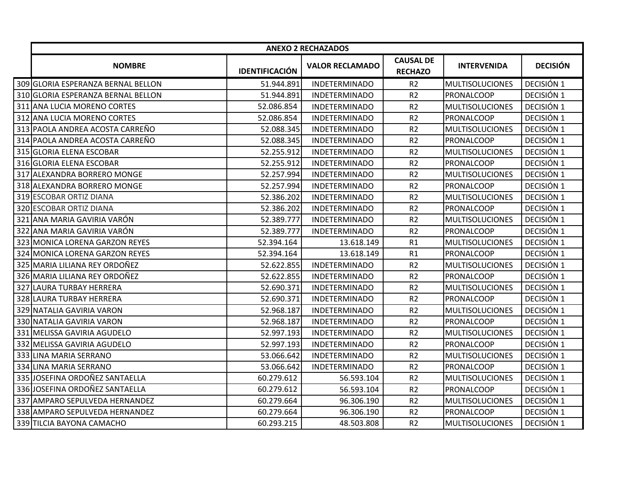|                                    |                       | <b>ANEXO 2 RECHAZADOS</b> |                                    |                        |                 |
|------------------------------------|-----------------------|---------------------------|------------------------------------|------------------------|-----------------|
| <b>NOMBRE</b>                      | <b>IDENTIFICACIÓN</b> | <b>VALOR RECLAMADO</b>    | <b>CAUSAL DE</b><br><b>RECHAZO</b> | <b>INTERVENIDA</b>     | <b>DECISIÓN</b> |
| 309 GLORIA ESPERANZA BERNAL BELLON | 51.944.891            | <b>INDETERMINADO</b>      | R <sub>2</sub>                     | <b>MULTISOLUCIONES</b> | DECISIÓN 1      |
| 310 GLORIA ESPERANZA BERNAL BELLON | 51.944.891            | <b>INDETERMINADO</b>      | R <sub>2</sub>                     | PRONALCOOP             | DECISIÓN 1      |
| 311 ANA LUCIA MORENO CORTES        | 52.086.854            | <b>INDETERMINADO</b>      | R <sub>2</sub>                     | <b>MULTISOLUCIONES</b> | DECISIÓN 1      |
| 312 ANA LUCIA MORENO CORTES        | 52.086.854            | <b>INDETERMINADO</b>      | R <sub>2</sub>                     | PRONALCOOP             | DECISIÓN 1      |
| 313 PAOLA ANDREA ACOSTA CARREÑO    | 52.088.345            | <b>INDETERMINADO</b>      | R <sub>2</sub>                     | <b>MULTISOLUCIONES</b> | DECISIÓN 1      |
| 314 PAOLA ANDREA ACOSTA CARREÑO    | 52.088.345            | <b>INDETERMINADO</b>      | R <sub>2</sub>                     | <b>PRONALCOOP</b>      | DECISIÓN 1      |
| 315 GLORIA ELENA ESCOBAR           | 52.255.912            | <b>INDETERMINADO</b>      | R <sub>2</sub>                     | <b>MULTISOLUCIONES</b> | DECISIÓN 1      |
| 316 GLORIA ELENA ESCOBAR           | 52.255.912            | <b>INDETERMINADO</b>      | R <sub>2</sub>                     | PRONALCOOP             | DECISIÓN 1      |
| 317 ALEXANDRA BORRERO MONGE        | 52.257.994            | <b>INDETERMINADO</b>      | R <sub>2</sub>                     | <b>MULTISOLUCIONES</b> | DECISIÓN 1      |
| 318 ALEXANDRA BORRERO MONGE        | 52.257.994            | <b>INDETERMINADO</b>      | R <sub>2</sub>                     | PRONALCOOP             | DECISIÓN 1      |
| 319 ESCOBAR ORTIZ DIANA            | 52.386.202            | <b>INDETERMINADO</b>      | R <sub>2</sub>                     | <b>MULTISOLUCIONES</b> | DECISIÓN 1      |
| 320 ESCOBAR ORTIZ DIANA            | 52.386.202            | <b>INDETERMINADO</b>      | R <sub>2</sub>                     | PRONALCOOP             | DECISIÓN 1      |
| 321 ANA MARIA GAVIRIA VARÓN        | 52.389.777            | <b>INDETERMINADO</b>      | R <sub>2</sub>                     | <b>MULTISOLUCIONES</b> | DECISIÓN 1      |
| 322 ANA MARIA GAVIRIA VARÓN        | 52.389.777            | <b>INDETERMINADO</b>      | R <sub>2</sub>                     | PRONALCOOP             | DECISIÓN 1      |
| 323 MONICA LORENA GARZON REYES     | 52.394.164            | 13.618.149                | R1                                 | <b>MULTISOLUCIONES</b> | DECISIÓN 1      |
| 324 MONICA LORENA GARZON REYES     | 52.394.164            | 13.618.149                | R1                                 | PRONALCOOP             | DECISIÓN 1      |
| 325 MARIA LILIANA REY ORDOÑEZ      | 52.622.855            | <b>INDETERMINADO</b>      | R <sub>2</sub>                     | <b>MULTISOLUCIONES</b> | DECISIÓN 1      |
| 326 MARIA LILIANA REY ORDOÑEZ      | 52.622.855            | <b>INDETERMINADO</b>      | R <sub>2</sub>                     | PRONALCOOP             | DECISIÓN 1      |
| 327 LAURA TURBAY HERRERA           | 52.690.371            | <b>INDETERMINADO</b>      | R <sub>2</sub>                     | <b>MULTISOLUCIONES</b> | DECISIÓN 1      |
| 328 LAURA TURBAY HERRERA           | 52.690.371            | <b>INDETERMINADO</b>      | R <sub>2</sub>                     | PRONALCOOP             | DECISIÓN 1      |
| 329 NATALIA GAVIRIA VARON          | 52.968.187            | <b>INDETERMINADO</b>      | R <sub>2</sub>                     | <b>MULTISOLUCIONES</b> | DECISIÓN 1      |
| 330 NATALIA GAVIRIA VARON          | 52.968.187            | <b>INDETERMINADO</b>      | R <sub>2</sub>                     | PRONALCOOP             | DECISIÓN 1      |
| 331 MELISSA GAVIRIA AGUDELO        | 52.997.193            | <b>INDETERMINADO</b>      | R2                                 | <b>MULTISOLUCIONES</b> | DECISIÓN 1      |
| 332 MELISSA GAVIRIA AGUDELO        | 52.997.193            | <b>INDETERMINADO</b>      | R <sub>2</sub>                     | PRONALCOOP             | DECISIÓN 1      |
| 333 LINA MARIA SERRANO             | 53.066.642            | <b>INDETERMINADO</b>      | R <sub>2</sub>                     | <b>MULTISOLUCIONES</b> | DECISIÓN 1      |
| 334 LINA MARIA SERRANO             | 53.066.642            | <b>INDETERMINADO</b>      | R <sub>2</sub>                     | <b>PRONALCOOP</b>      | DECISIÓN 1      |
| 335 JOSEFINA ORDOÑEZ SANTAELLA     | 60.279.612            | 56.593.104                | R <sub>2</sub>                     | <b>MULTISOLUCIONES</b> | DECISIÓN 1      |
| 336 JOSEFINA ORDOÑEZ SANTAELLA     | 60.279.612            | 56.593.104                | R <sub>2</sub>                     | <b>PRONALCOOP</b>      | DECISIÓN 1      |
| 337 AMPARO SEPULVEDA HERNANDEZ     | 60.279.664            | 96.306.190                | R <sub>2</sub>                     | <b>MULTISOLUCIONES</b> | DECISIÓN 1      |
| 338 AMPARO SEPULVEDA HERNANDEZ     | 60.279.664            | 96.306.190                | R <sub>2</sub>                     | PRONALCOOP             | DECISIÓN 1      |
| 339 TILCIA BAYONA CAMACHO          | 60.293.215            | 48.503.808                | R <sub>2</sub>                     | <b>MULTISOLUCIONES</b> | DECISIÓN 1      |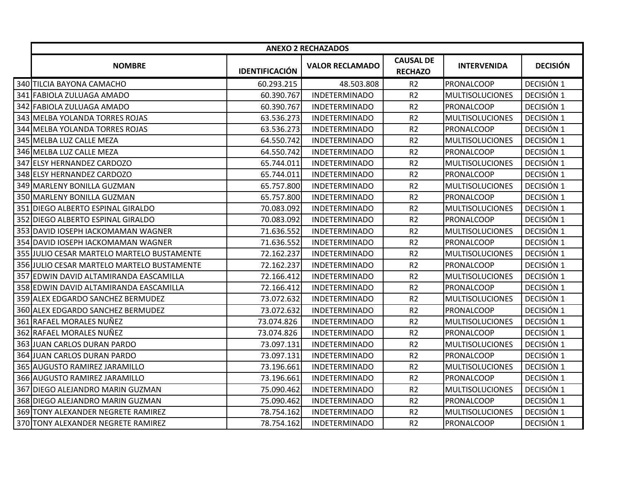|                                            |                       | <b>ANEXO 2 RECHAZADOS</b> |                                    |                        |                 |
|--------------------------------------------|-----------------------|---------------------------|------------------------------------|------------------------|-----------------|
| <b>NOMBRE</b>                              | <b>IDENTIFICACIÓN</b> | <b>VALOR RECLAMADO</b>    | <b>CAUSAL DE</b><br><b>RECHAZO</b> | <b>INTERVENIDA</b>     | <b>DECISIÓN</b> |
| 340 TILCIA BAYONA CAMACHO                  | 60.293.215            | 48.503.808                | R <sub>2</sub>                     | PRONALCOOP             | DECISIÓN 1      |
| 341 FABIOLA ZULUAGA AMADO                  | 60.390.767            | <b>INDETERMINADO</b>      | R <sub>2</sub>                     | <b>MULTISOLUCIONES</b> | DECISIÓN 1      |
| 342 FABIOLA ZULUAGA AMADO                  | 60.390.767            | <b>INDETERMINADO</b>      | R <sub>2</sub>                     | <b>PRONALCOOP</b>      | DECISIÓN 1      |
| 343 MELBA YOLANDA TORRES ROJAS             | 63.536.273            | <b>INDETERMINADO</b>      | R <sub>2</sub>                     | <b>MULTISOLUCIONES</b> | DECISIÓN 1      |
| 344 MELBA YOLANDA TORRES ROJAS             | 63.536.273            | <b>INDETERMINADO</b>      | R <sub>2</sub>                     | PRONALCOOP             | DECISIÓN 1      |
| 345 MELBA LUZ CALLE MEZA                   | 64.550.742            | <b>INDETERMINADO</b>      | R <sub>2</sub>                     | <b>MULTISOLUCIONES</b> | DECISIÓN 1      |
| 346 MELBA LUZ CALLE MEZA                   | 64.550.742            | <b>INDETERMINADO</b>      | R2                                 | <b>PRONALCOOP</b>      | DECISIÓN 1      |
| 347 ELSY HERNANDEZ CARDOZO                 | 65.744.011            | <b>INDETERMINADO</b>      | R <sub>2</sub>                     | <b>MULTISOLUCIONES</b> | DECISIÓN 1      |
| 348 ELSY HERNANDEZ CARDOZO                 | 65.744.011            | <b>INDETERMINADO</b>      | R <sub>2</sub>                     | <b>PRONALCOOP</b>      | DECISIÓN 1      |
| 349 MARLENY BONILLA GUZMAN                 | 65.757.800            | <b>INDETERMINADO</b>      | R <sub>2</sub>                     | <b>MULTISOLUCIONES</b> | DECISIÓN 1      |
| 350 MARLENY BONILLA GUZMAN                 | 65.757.800            | <b>INDETERMINADO</b>      | R <sub>2</sub>                     | PRONALCOOP             | DECISIÓN 1      |
| 351 DIEGO ALBERTO ESPINAL GIRALDO          | 70.083.092            | <b>INDETERMINADO</b>      | R <sub>2</sub>                     | <b>MULTISOLUCIONES</b> | DECISIÓN 1      |
| 352 DIEGO ALBERTO ESPINAL GIRALDO          | 70.083.092            | <b>INDETERMINADO</b>      | R <sub>2</sub>                     | <b>PRONALCOOP</b>      | DECISIÓN 1      |
| 353 DAVID IOSEPH IACKOMAMAN WAGNER         | 71.636.552            | <b>INDETERMINADO</b>      | R <sub>2</sub>                     | <b>MULTISOLUCIONES</b> | DECISIÓN 1      |
| 354 DAVID IOSEPH IACKOMAMAN WAGNER         | 71.636.552            | <b>INDETERMINADO</b>      | R <sub>2</sub>                     | PRONALCOOP             | DECISIÓN 1      |
| 355 JULIO CESAR MARTELO MARTELO BUSTAMENTE | 72.162.237            | <b>INDETERMINADO</b>      | R2                                 | <b>MULTISOLUCIONES</b> | DECISIÓN 1      |
| 356 JULIO CESAR MARTELO MARTELO BUSTAMENTE | 72.162.237            | <b>INDETERMINADO</b>      | R <sub>2</sub>                     | PRONALCOOP             | DECISIÓN 1      |
| 357 EDWIN DAVID ALTAMIRANDA EASCAMILLA     | 72.166.412            | <b>INDETERMINADO</b>      | R <sub>2</sub>                     | <b>MULTISOLUCIONES</b> | DECISIÓN 1      |
| 358 EDWIN DAVID ALTAMIRANDA EASCAMILLA     | 72.166.412            | <b>INDETERMINADO</b>      | R <sub>2</sub>                     | <b>PRONALCOOP</b>      | DECISIÓN 1      |
| 359 ALEX EDGARDO SANCHEZ BERMUDEZ          | 73.072.632            | <b>INDETERMINADO</b>      | R <sub>2</sub>                     | <b>MULTISOLUCIONES</b> | DECISIÓN 1      |
| 360 ALEX EDGARDO SANCHEZ BERMUDEZ          | 73.072.632            | <b>INDETERMINADO</b>      | R <sub>2</sub>                     | <b>PRONALCOOP</b>      | DECISIÓN 1      |
| 361 RAFAEL MORALES NUÑEZ                   | 73.074.826            | <b>INDETERMINADO</b>      | R <sub>2</sub>                     | <b>MULTISOLUCIONES</b> | DECISIÓN 1      |
| 362 RAFAEL MORALES NUÑEZ                   | 73.074.826            | <b>INDETERMINADO</b>      | R <sub>2</sub>                     | <b>PRONALCOOP</b>      | DECISIÓN 1      |
| 363 JUAN CARLOS DURAN PARDO                | 73.097.131            | <b>INDETERMINADO</b>      | R <sub>2</sub>                     | <b>MULTISOLUCIONES</b> | DECISIÓN 1      |
| 364 JUAN CARLOS DURAN PARDO                | 73.097.131            | <b>INDETERMINADO</b>      | R <sub>2</sub>                     | <b>PRONALCOOP</b>      | DECISIÓN 1      |
| 365 AUGUSTO RAMIREZ JARAMILLO              | 73.196.661            | <b>INDETERMINADO</b>      | R <sub>2</sub>                     | <b>MULTISOLUCIONES</b> | DECISIÓN 1      |
| 366 AUGUSTO RAMIREZ JARAMILLO              | 73.196.661            | <b>INDETERMINADO</b>      | R2                                 | PRONALCOOP             | DECISIÓN 1      |
| 367 DIEGO ALEJANDRO MARIN GUZMAN           | 75.090.462            | <b>INDETERMINADO</b>      | R <sub>2</sub>                     | <b>MULTISOLUCIONES</b> | DECISIÓN 1      |
| 368 DIEGO ALEJANDRO MARIN GUZMAN           | 75.090.462            | <b>INDETERMINADO</b>      | R <sub>2</sub>                     | PRONALCOOP             | DECISIÓN 1      |
| 369 TONY ALEXANDER NEGRETE RAMIREZ         | 78.754.162            | <b>INDETERMINADO</b>      | R <sub>2</sub>                     | <b>MULTISOLUCIONES</b> | DECISIÓN 1      |
| 370 TONY ALEXANDER NEGRETE RAMIREZ         | 78.754.162            | <b>INDETERMINADO</b>      | R <sub>2</sub>                     | PRONALCOOP             | DECISIÓN 1      |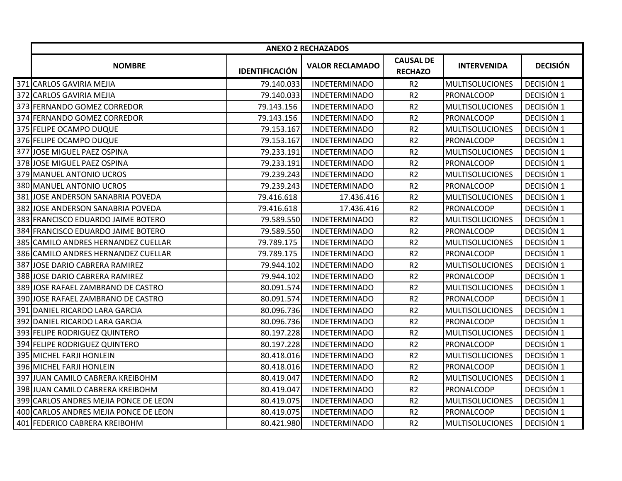|     | <b>ANEXO 2 RECHAZADOS</b>             |                       |                        |                                    |                        |                 |
|-----|---------------------------------------|-----------------------|------------------------|------------------------------------|------------------------|-----------------|
|     | <b>NOMBRE</b>                         | <b>IDENTIFICACIÓN</b> | <b>VALOR RECLAMADO</b> | <b>CAUSAL DE</b><br><b>RECHAZO</b> | <b>INTERVENIDA</b>     | <b>DECISIÓN</b> |
|     | 371 CARLOS GAVIRIA MEJIA              | 79.140.033            | <b>INDETERMINADO</b>   | R <sub>2</sub>                     | <b>MULTISOLUCIONES</b> | DECISIÓN 1      |
|     | 372 CARLOS GAVIRIA MEJIA              | 79.140.033            | <b>INDETERMINADO</b>   | R <sub>2</sub>                     | <b>PRONALCOOP</b>      | DECISIÓN 1      |
|     | 373 FERNANDO GOMEZ CORREDOR           | 79.143.156            | <b>INDETERMINADO</b>   | R <sub>2</sub>                     | <b>MULTISOLUCIONES</b> | DECISIÓN 1      |
|     | 374 FERNANDO GOMEZ CORREDOR           | 79.143.156            | <b>INDETERMINADO</b>   | R <sub>2</sub>                     | <b>PRONALCOOP</b>      | DECISIÓN 1      |
|     | 375 FELIPE OCAMPO DUQUE               | 79.153.167            | <b>INDETERMINADO</b>   | R <sub>2</sub>                     | <b>MULTISOLUCIONES</b> | DECISIÓN 1      |
|     | 376 FELIPE OCAMPO DUQUE               | 79.153.167            | <b>INDETERMINADO</b>   | R <sub>2</sub>                     | PRONALCOOP             | DECISIÓN 1      |
| 377 | JOSE MIGUEL PAEZ OSPINA               | 79.233.191            | <b>INDETERMINADO</b>   | R <sub>2</sub>                     | <b>MULTISOLUCIONES</b> | DECISIÓN 1      |
| 378 | JOSE MIGUEL PAEZ OSPINA               | 79.233.191            | <b>INDETERMINADO</b>   | R <sub>2</sub>                     | <b>PRONALCOOP</b>      | DECISIÓN 1      |
|     | 379 MANUEL ANTONIO UCROS              | 79.239.243            | <b>INDETERMINADO</b>   | R <sub>2</sub>                     | <b>MULTISOLUCIONES</b> | DECISIÓN 1      |
|     | 380 MANUEL ANTONIO UCROS              | 79.239.243            | <b>INDETERMINADO</b>   | R <sub>2</sub>                     | <b>PRONALCOOP</b>      | DECISIÓN 1      |
| 381 | JOSE ANDERSON SANABRIA POVEDA         | 79.416.618            | 17.436.416             | R <sub>2</sub>                     | <b>MULTISOLUCIONES</b> | DECISIÓN 1      |
| 382 | JOSE ANDERSON SANABRIA POVEDA         | 79.416.618            | 17.436.416             | R <sub>2</sub>                     | PRONALCOOP             | DECISIÓN 1      |
|     | 383 FRANCISCO EDUARDO JAIME BOTERO    | 79.589.550            | <b>INDETERMINADO</b>   | R <sub>2</sub>                     | <b>MULTISOLUCIONES</b> | DECISIÓN 1      |
|     | 384 FRANCISCO EDUARDO JAIME BOTERO    | 79.589.550            | <b>INDETERMINADO</b>   | R <sub>2</sub>                     | <b>PRONALCOOP</b>      | DECISIÓN 1      |
| 385 | CAMILO ANDRES HERNANDEZ CUELLAR       | 79.789.175            | <b>INDETERMINADO</b>   | R <sub>2</sub>                     | <b>MULTISOLUCIONES</b> | DECISIÓN 1      |
| 386 | CAMILO ANDRES HERNANDEZ CUELLAR       | 79.789.175            | <b>INDETERMINADO</b>   | R <sub>2</sub>                     | PRONALCOOP             | DECISIÓN 1      |
| 387 | JOSE DARIO CABRERA RAMIREZ            | 79.944.102            | <b>INDETERMINADO</b>   | R <sub>2</sub>                     | <b>MULTISOLUCIONES</b> | DECISIÓN 1      |
| 388 | JOSE DARIO CABRERA RAMIREZ            | 79.944.102            | <b>INDETERMINADO</b>   | R <sub>2</sub>                     | PRONALCOOP             | DECISIÓN 1      |
| 389 | JOSE RAFAEL ZAMBRANO DE CASTRO        | 80.091.574            | <b>INDETERMINADO</b>   | R <sub>2</sub>                     | <b>MULTISOLUCIONES</b> | DECISIÓN 1      |
|     | 390 JOSE RAFAEL ZAMBRANO DE CASTRO    | 80.091.574            | <b>INDETERMINADO</b>   | R <sub>2</sub>                     | <b>PRONALCOOP</b>      | DECISIÓN 1      |
|     | 391 DANIEL RICARDO LARA GARCIA        | 80.096.736            | <b>INDETERMINADO</b>   | R <sub>2</sub>                     | <b>MULTISOLUCIONES</b> | DECISIÓN 1      |
| 392 | DANIEL RICARDO LARA GARCIA            | 80.096.736            | <b>INDETERMINADO</b>   | R <sub>2</sub>                     | <b>PRONALCOOP</b>      | DECISIÓN 1      |
| 393 | <b>FELIPE RODRIGUEZ QUINTERO</b>      | 80.197.228            | <b>INDETERMINADO</b>   | R <sub>2</sub>                     | <b>MULTISOLUCIONES</b> | DECISIÓN 1      |
|     | 394 FELIPE RODRIGUEZ QUINTERO         | 80.197.228            | <b>INDETERMINADO</b>   | R <sub>2</sub>                     | <b>PRONALCOOP</b>      | DECISIÓN 1      |
|     | 395 MICHEL FARJI HONLEIN              | 80.418.016            | <b>INDETERMINADO</b>   | R <sub>2</sub>                     | <b>MULTISOLUCIONES</b> | DECISIÓN 1      |
|     | 396 MICHEL FARJI HONLEIN              | 80.418.016            | <b>INDETERMINADO</b>   | R <sub>2</sub>                     | PRONALCOOP             | DECISIÓN 1      |
|     | 397 JUAN CAMILO CABRERA KREIBOHM      | 80.419.047            | <b>INDETERMINADO</b>   | R <sub>2</sub>                     | <b>MULTISOLUCIONES</b> | DECISIÓN 1      |
|     | 398 JUAN CAMILO CABRERA KREIBOHM      | 80.419.047            | <b>INDETERMINADO</b>   | R <sub>2</sub>                     | PRONALCOOP             | DECISIÓN 1      |
|     | 399 CARLOS ANDRES MEJIA PONCE DE LEON | 80.419.075            | <b>INDETERMINADO</b>   | R <sub>2</sub>                     | <b>MULTISOLUCIONES</b> | DECISIÓN 1      |
|     | 400 CARLOS ANDRES MEJIA PONCE DE LEON | 80.419.075            | <b>INDETERMINADO</b>   | R <sub>2</sub>                     | <b>PRONALCOOP</b>      | DECISIÓN 1      |
|     | 401 FEDERICO CABRERA KREIBOHM         | 80.421.980            | <b>INDETERMINADO</b>   | R <sub>2</sub>                     | <b>MULTISOLUCIONES</b> | DECISIÓN 1      |
|     |                                       |                       |                        |                                    |                        |                 |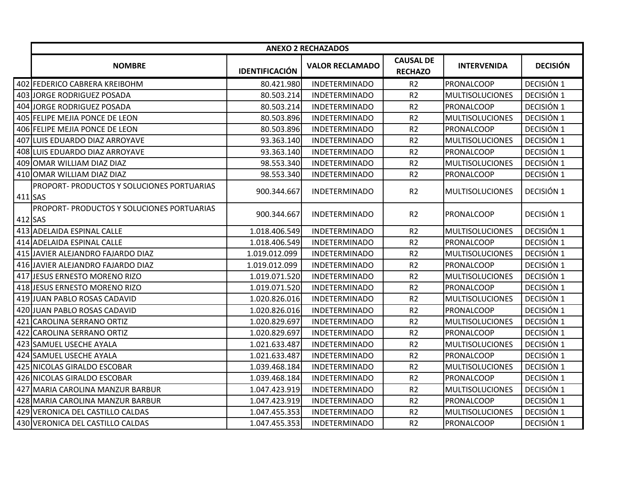|           | <b>ANEXO 2 RECHAZADOS</b>                  |                       |                        |                                    |                        |                 |
|-----------|--------------------------------------------|-----------------------|------------------------|------------------------------------|------------------------|-----------------|
|           | <b>NOMBRE</b>                              | <b>IDENTIFICACIÓN</b> | <b>VALOR RECLAMADO</b> | <b>CAUSAL DE</b><br><b>RECHAZO</b> | <b>INTERVENIDA</b>     | <b>DECISIÓN</b> |
|           | 402 FEDERICO CABRERA KREIBOHM              | 80.421.980            | <b>INDETERMINADO</b>   | R <sub>2</sub>                     | PRONALCOOP             | DECISIÓN 1      |
|           | 403 JORGE RODRIGUEZ POSADA                 | 80.503.214            | <b>INDETERMINADO</b>   | R <sub>2</sub>                     | <b>MULTISOLUCIONES</b> | DECISIÓN 1      |
|           | 404 JORGE RODRIGUEZ POSADA                 | 80.503.214            | <b>INDETERMINADO</b>   | R <sub>2</sub>                     | PRONALCOOP             | DECISIÓN 1      |
|           | 405 FELIPE MEJIA PONCE DE LEON             | 80.503.896            | <b>INDETERMINADO</b>   | R <sub>2</sub>                     | <b>MULTISOLUCIONES</b> | DECISIÓN 1      |
|           | 406 FELIPE MEJIA PONCE DE LEON             | 80.503.896            | <b>INDETERMINADO</b>   | R <sub>2</sub>                     | <b>PRONALCOOP</b>      | DECISIÓN 1      |
|           | 407 ILUIS EDUARDO DIAZ ARROYAVE            | 93.363.140            | <b>INDETERMINADO</b>   | R <sub>2</sub>                     | <b>MULTISOLUCIONES</b> | DECISIÓN 1      |
|           | 408 LUIS EDUARDO DIAZ ARROYAVE             | 93.363.140            | <b>INDETERMINADO</b>   | R <sub>2</sub>                     | PRONALCOOP             | DECISIÓN 1      |
|           | 409 OMAR WILLIAM DIAZ DIAZ                 | 98.553.340            | <b>INDETERMINADO</b>   | R <sub>2</sub>                     | <b>MULTISOLUCIONES</b> | DECISIÓN 1      |
|           | 410 OMAR WILLIAM DIAZ DIAZ                 | 98.553.340            | <b>INDETERMINADO</b>   | R <sub>2</sub>                     | PRONALCOOP             | DECISIÓN 1      |
| $411$ SAS | PROPORT- PRODUCTOS Y SOLUCIONES PORTUARIAS | 900.344.667           | <b>INDETERMINADO</b>   | R2                                 | <b>MULTISOLUCIONES</b> | DECISIÓN 1      |
| $412$ SAS | PROPORT- PRODUCTOS Y SOLUCIONES PORTUARIAS | 900.344.667           | <b>INDETERMINADO</b>   | R <sub>2</sub>                     | PRONALCOOP             | DECISIÓN 1      |
|           | 413 ADELAIDA ESPINAL CALLE                 | 1.018.406.549         | <b>INDETERMINADO</b>   | R <sub>2</sub>                     | <b>MULTISOLUCIONES</b> | DECISIÓN 1      |
|           | 414 ADELAIDA ESPINAL CALLE                 | 1.018.406.549         | <b>INDETERMINADO</b>   | R <sub>2</sub>                     | <b>PRONALCOOP</b>      | DECISIÓN 1      |
|           | 415 JAVIER ALEJANDRO FAJARDO DIAZ          | 1.019.012.099         | <b>INDETERMINADO</b>   | R2                                 | <b>MULTISOLUCIONES</b> | DECISIÓN 1      |
|           | 416 JAVIER ALEJANDRO FAJARDO DIAZ          | 1.019.012.099         | <b>INDETERMINADO</b>   | R <sub>2</sub>                     | <b>PRONALCOOP</b>      | DECISIÓN 1      |
|           | 417 JESUS ERNESTO MORENO RIZO              | 1.019.071.520         | <b>INDETERMINADO</b>   | R <sub>2</sub>                     | <b>MULTISOLUCIONES</b> | DECISIÓN 1      |
|           | 418 JESUS ERNESTO MORENO RIZO              | 1.019.071.520         | <b>INDETERMINADO</b>   | R <sub>2</sub>                     | PRONALCOOP             | DECISIÓN 1      |
|           | 419 JUAN PABLO ROSAS CADAVID               | 1.020.826.016         | <b>INDETERMINADO</b>   | R <sub>2</sub>                     | <b>MULTISOLUCIONES</b> | DECISIÓN 1      |
|           | 420 JUAN PABLO ROSAS CADAVID               | 1.020.826.016         | <b>INDETERMINADO</b>   | R2                                 | PRONALCOOP             | DECISIÓN 1      |
|           | 421 CAROLINA SERRANO ORTIZ                 | 1.020.829.697         | <b>INDETERMINADO</b>   | R <sub>2</sub>                     | <b>MULTISOLUCIONES</b> | DECISIÓN 1      |
|           | 422 CAROLINA SERRANO ORTIZ                 | 1.020.829.697         | <b>INDETERMINADO</b>   | R2                                 | <b>PRONALCOOP</b>      | DECISIÓN 1      |
|           | 423 SAMUEL USECHE AYALA                    | 1.021.633.487         | <b>INDETERMINADO</b>   | R <sub>2</sub>                     | <b>MULTISOLUCIONES</b> | DECISIÓN 1      |
|           | 424 SAMUEL USECHE AYALA                    | 1.021.633.487         | <b>INDETERMINADO</b>   | R <sub>2</sub>                     | PRONALCOOP             | DECISIÓN 1      |
|           | 425 NICOLAS GIRALDO ESCOBAR                | 1.039.468.184         | <b>INDETERMINADO</b>   | R <sub>2</sub>                     | <b>MULTISOLUCIONES</b> | DECISIÓN 1      |
|           | 426 NICOLAS GIRALDO ESCOBAR                | 1.039.468.184         | <b>INDETERMINADO</b>   | R <sub>2</sub>                     | PRONALCOOP             | DECISIÓN 1      |
|           | 427 MARIA CAROLINA MANZUR BARBUR           | 1.047.423.919         | <b>INDETERMINADO</b>   | R <sub>2</sub>                     | <b>MULTISOLUCIONES</b> | DECISIÓN 1      |
|           | 428 MARIA CAROLINA MANZUR BARBUR           | 1.047.423.919         | <b>INDETERMINADO</b>   | R <sub>2</sub>                     | PRONALCOOP             | DECISIÓN 1      |
|           | 429 VERONICA DEL CASTILLO CALDAS           | 1.047.455.353         | <b>INDETERMINADO</b>   | R <sub>2</sub>                     | <b>MULTISOLUCIONES</b> | DECISIÓN 1      |
|           | 430 VERONICA DEL CASTILLO CALDAS           | 1.047.455.353         | <b>INDETERMINADO</b>   | R <sub>2</sub>                     | PRONALCOOP             | DECISIÓN 1      |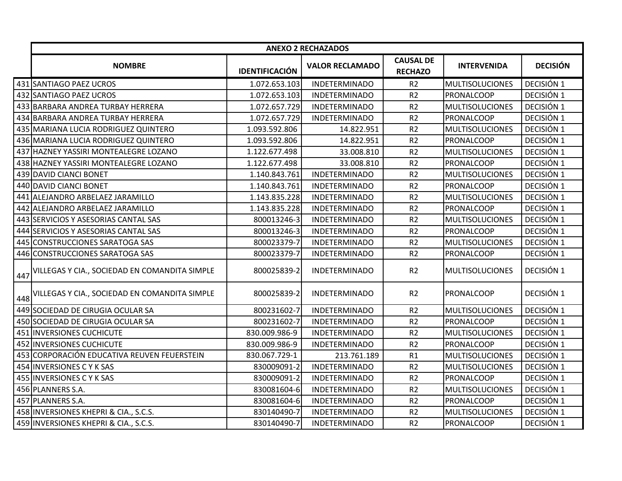|     | <b>ANEXO 2 RECHAZADOS</b>                         |                       |                        |                                    |                        |                 |
|-----|---------------------------------------------------|-----------------------|------------------------|------------------------------------|------------------------|-----------------|
|     | <b>NOMBRE</b>                                     | <b>IDENTIFICACIÓN</b> | <b>VALOR RECLAMADO</b> | <b>CAUSAL DE</b><br><b>RECHAZO</b> | <b>INTERVENIDA</b>     | <b>DECISIÓN</b> |
|     | 431 SANTIAGO PAEZ UCROS                           | 1.072.653.103         | <b>INDETERMINADO</b>   | R <sub>2</sub>                     | <b>MULTISOLUCIONES</b> | DECISIÓN 1      |
|     | 432 SANTIAGO PAEZ UCROS                           | 1.072.653.103         | <b>INDETERMINADO</b>   | R <sub>2</sub>                     | <b>PRONALCOOP</b>      | DECISIÓN 1      |
|     | 433 BARBARA ANDREA TURBAY HERRERA                 | 1.072.657.729         | <b>INDETERMINADO</b>   | R <sub>2</sub>                     | <b>MULTISOLUCIONES</b> | DECISIÓN 1      |
|     | 434 BARBARA ANDREA TURBAY HERRERA                 | 1.072.657.729         | <b>INDETERMINADO</b>   | R <sub>2</sub>                     | PRONALCOOP             | DECISIÓN 1      |
|     | 435 MARIANA LUCIA RODRIGUEZ QUINTERO              | 1.093.592.806         | 14.822.951             | R <sub>2</sub>                     | <b>MULTISOLUCIONES</b> | DECISIÓN 1      |
|     | 436 MARIANA LUCIA RODRIGUEZ QUINTERO              | 1.093.592.806         | 14.822.951             | R <sub>2</sub>                     | PRONALCOOP             | DECISIÓN 1      |
|     | 437 HAZNEY YASSIRI MONTEALEGRE LOZANO             | 1.122.677.498         | 33.008.810             | R <sub>2</sub>                     | <b>MULTISOLUCIONES</b> | DECISIÓN 1      |
|     | 438 HAZNEY YASSIRI MONTEALEGRE LOZANO             | 1.122.677.498         | 33.008.810             | R <sub>2</sub>                     | PRONALCOOP             | DECISIÓN 1      |
|     | 439 DAVID CIANCI BONET                            | 1.140.843.761         | <b>INDETERMINADO</b>   | R <sub>2</sub>                     | <b>MULTISOLUCIONES</b> | DECISIÓN 1      |
|     | 440 DAVID CIANCI BONET                            | 1.140.843.761         | <b>INDETERMINADO</b>   | R <sub>2</sub>                     | PRONALCOOP             | DECISIÓN 1      |
|     | 441 ALEJANDRO ARBELAEZ JARAMILLO                  | 1.143.835.228         | <b>INDETERMINADO</b>   | R <sub>2</sub>                     | <b>MULTISOLUCIONES</b> | DECISIÓN 1      |
|     | 442 ALEJANDRO ARBELAEZ JARAMILLO                  | 1.143.835.228         | <b>INDETERMINADO</b>   | R <sub>2</sub>                     | <b>PRONALCOOP</b>      | DECISIÓN 1      |
|     | 443 SERVICIOS Y ASESORIAS CANTAL SAS              | 800013246-3           | <b>INDETERMINADO</b>   | R <sub>2</sub>                     | <b>MULTISOLUCIONES</b> | DECISIÓN 1      |
|     | 444 SERVICIOS Y ASESORIAS CANTAL SAS              | 800013246-3           | <b>INDETERMINADO</b>   | R <sub>2</sub>                     | <b>PRONALCOOP</b>      | DECISIÓN 1      |
|     | 445 CONSTRUCCIONES SARATOGA SAS                   | 800023379-7           | <b>INDETERMINADO</b>   | R <sub>2</sub>                     | <b>MULTISOLUCIONES</b> | DECISIÓN 1      |
|     | 446 CONSTRUCCIONES SARATOGA SAS                   | 800023379-7           | <b>INDETERMINADO</b>   | R <sub>2</sub>                     | <b>PRONALCOOP</b>      | DECISIÓN 1      |
| 447 | VILLEGAS Y CIA., SOCIEDAD EN COMANDITA SIMPLE     | 800025839-2           | <b>INDETERMINADO</b>   | R <sub>2</sub>                     | <b>MULTISOLUCIONES</b> | DECISIÓN 1      |
|     | 448 VILLEGAS Y CIA., SOCIEDAD EN COMANDITA SIMPLE | 800025839-2           | <b>INDETERMINADO</b>   | R <sub>2</sub>                     | <b>PRONALCOOP</b>      | DECISIÓN 1      |
|     | 449 SOCIEDAD DE CIRUGIA OCULAR SA                 | 800231602-7           | <b>INDETERMINADO</b>   | R <sub>2</sub>                     | <b>MULTISOLUCIONES</b> | DECISIÓN 1      |
|     | 450 SOCIEDAD DE CIRUGIA OCULAR SA                 | 800231602-7           | <b>INDETERMINADO</b>   | R <sub>2</sub>                     | <b>PRONALCOOP</b>      | DECISIÓN 1      |
|     | 451 INVERSIONES CUCHICUTE                         | 830.009.986-9         | <b>INDETERMINADO</b>   | R <sub>2</sub>                     | <b>MULTISOLUCIONES</b> | DECISIÓN 1      |
|     | 452 INVERSIONES CUCHICUTE                         | 830.009.986-9         | <b>INDETERMINADO</b>   | R <sub>2</sub>                     | PRONALCOOP             | DECISIÓN 1      |
|     | 453 CORPORACIÓN EDUCATIVA REUVEN FEUERSTEIN       | 830.067.729-1         | 213.761.189            | R1                                 | <b>MULTISOLUCIONES</b> | DECISIÓN 1      |
|     | 454 INVERSIONES C Y K SAS                         | 830009091-2           | <b>INDETERMINADO</b>   | R <sub>2</sub>                     | <b>MULTISOLUCIONES</b> | DECISIÓN 1      |
|     | 455 INVERSIONES C Y K SAS                         | 830009091-2           | <b>INDETERMINADO</b>   | R <sub>2</sub>                     | PRONALCOOP             | DECISIÓN 1      |
|     | 456 PLANNERS S.A.                                 | 830081604-6           | <b>INDETERMINADO</b>   | R <sub>2</sub>                     | <b>MULTISOLUCIONES</b> | DECISIÓN 1      |
|     | 457 PLANNERS S.A.                                 | 830081604-6           | <b>INDETERMINADO</b>   | R <sub>2</sub>                     | PRONALCOOP             | DECISIÓN 1      |
|     | 458 INVERSIONES KHEPRI & CIA., S.C.S.             | 830140490-7           | <b>INDETERMINADO</b>   | R <sub>2</sub>                     | <b>MULTISOLUCIONES</b> | DECISIÓN 1      |
|     | 459 INVERSIONES KHEPRI & CIA., S.C.S.             | 830140490-7           | <b>INDETERMINADO</b>   | R <sub>2</sub>                     | PRONALCOOP             | DECISIÓN 1      |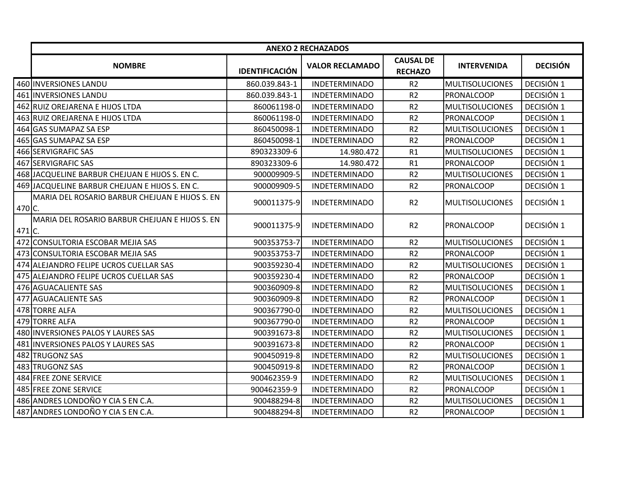|          | <b>ANEXO 2 RECHAZADOS</b>                      |                       |                        |                                    |                        |                 |
|----------|------------------------------------------------|-----------------------|------------------------|------------------------------------|------------------------|-----------------|
|          | <b>NOMBRE</b>                                  | <b>IDENTIFICACIÓN</b> | <b>VALOR RECLAMADO</b> | <b>CAUSAL DE</b><br><b>RECHAZO</b> | <b>INTERVENIDA</b>     | <b>DECISIÓN</b> |
|          | 460 INVERSIONES LANDU                          | 860.039.843-1         | <b>INDETERMINADO</b>   | R <sub>2</sub>                     | <b>MULTISOLUCIONES</b> | DECISIÓN 1      |
|          | 461 INVERSIONES LANDU                          | 860.039.843-1         | <b>INDETERMINADO</b>   | R <sub>2</sub>                     | <b>PRONALCOOP</b>      | DECISIÓN 1      |
|          | 462 RUIZ OREJARENA E HIJOS LTDA                | 860061198-0           | <b>INDETERMINADO</b>   | R <sub>2</sub>                     | <b>MULTISOLUCIONES</b> | DECISIÓN 1      |
|          | 463 RUIZ OREJARENA E HIJOS LTDA                | 860061198-0           | <b>INDETERMINADO</b>   | R <sub>2</sub>                     | <b>PRONALCOOP</b>      | DECISIÓN 1      |
|          | 464 GAS SUMAPAZ SA ESP                         | 860450098-1           | <b>INDETERMINADO</b>   | R <sub>2</sub>                     | <b>MULTISOLUCIONES</b> | DECISIÓN 1      |
|          | 465 GAS SUMAPAZ SA ESP                         | 860450098-1           | <b>INDETERMINADO</b>   | R <sub>2</sub>                     | PRONALCOOP             | DECISIÓN 1      |
|          | 466 SERVIGRAFIC SAS                            | 890323309-6           | 14.980.472             | R1                                 | <b>MULTISOLUCIONES</b> | DECISIÓN 1      |
|          | 467 SERVIGRAFIC SAS                            | 890323309-6           | 14.980.472             | R1                                 | <b>PRONALCOOP</b>      | DECISIÓN 1      |
|          | 468 JACQUELINE BARBUR CHEJUAN E HIJOS S. EN C. | 900009909-5           | <b>INDETERMINADO</b>   | R <sub>2</sub>                     | <b>MULTISOLUCIONES</b> | DECISIÓN 1      |
|          | 469 JACQUELINE BARBUR CHEJUAN E HIJOS S. EN C. | 900009909-5           | <b>INDETERMINADO</b>   | R <sub>2</sub>                     | PRONALCOOP             | DECISIÓN 1      |
| $470$ C. | MARIA DEL ROSARIO BARBUR CHEJUAN E HIJOS S. EN | 900011375-9           | <b>INDETERMINADO</b>   | R <sub>2</sub>                     | <b>MULTISOLUCIONES</b> | DECISIÓN 1      |
| 471 C.   | MARIA DEL ROSARIO BARBUR CHEJUAN E HIJOS S. EN | 900011375-9           | <b>INDETERMINADO</b>   | R <sub>2</sub>                     | PRONALCOOP             | DECISIÓN 1      |
|          | 472 CONSULTORIA ESCOBAR MEJIA SAS              | 900353753-7           | <b>INDETERMINADO</b>   | R <sub>2</sub>                     | <b>MULTISOLUCIONES</b> | DECISIÓN 1      |
|          | 473 CONSULTORIA ESCOBAR MEJIA SAS              | 900353753-7           | <b>INDETERMINADO</b>   | R <sub>2</sub>                     | PRONALCOOP             | DECISIÓN 1      |
|          | 474 ALEJANDRO FELIPE UCROS CUELLAR SAS         | 900359230-4           | <b>INDETERMINADO</b>   | R <sub>2</sub>                     | <b>MULTISOLUCIONES</b> | DECISIÓN 1      |
|          | 475 ALEJANDRO FELIPE UCROS CUELLAR SAS         | 900359230-4           | <b>INDETERMINADO</b>   | R <sub>2</sub>                     | <b>PRONALCOOP</b>      | DECISIÓN 1      |
|          | 476 AGUACALIENTE SAS                           | 900360909-8           | <b>INDETERMINADO</b>   | R <sub>2</sub>                     | <b>MULTISOLUCIONES</b> | DECISIÓN 1      |
|          | 477 AGUACALIENTE SAS                           | 900360909-8           | <b>INDETERMINADO</b>   | R <sub>2</sub>                     | <b>PRONALCOOP</b>      | DECISIÓN 1      |
|          | 478 TORRE ALFA                                 | 900367790-0           | <b>INDETERMINADO</b>   | R <sub>2</sub>                     | <b>MULTISOLUCIONES</b> | DECISIÓN 1      |
|          | 479 TORRE ALFA                                 | 900367790-0           | <b>INDETERMINADO</b>   | R <sub>2</sub>                     | PRONALCOOP             | DECISIÓN 1      |
|          | 480 INVERSIONES PALOS Y LAURES SAS             | 900391673-8           | <b>INDETERMINADO</b>   | R <sub>2</sub>                     | <b>MULTISOLUCIONES</b> | DECISIÓN 1      |
|          | 481 INVERSIONES PALOS Y LAURES SAS             | 900391673-8           | <b>INDETERMINADO</b>   | R <sub>2</sub>                     | PRONALCOOP             | DECISIÓN 1      |
|          | 482 TRUGONZ SAS                                | 900450919-8           | <b>INDETERMINADO</b>   | R <sub>2</sub>                     | <b>MULTISOLUCIONES</b> | DECISIÓN 1      |
|          | 483 TRUGONZ SAS                                | 900450919-8           | <b>INDETERMINADO</b>   | R <sub>2</sub>                     | PRONALCOOP             | DECISIÓN 1      |
|          | 484 FREE ZONE SERVICE                          | 900462359-9           | <b>INDETERMINADO</b>   | R <sub>2</sub>                     | <b>MULTISOLUCIONES</b> | DECISIÓN 1      |
|          | 485 FREE ZONE SERVICE                          | 900462359-9           | <b>INDETERMINADO</b>   | R <sub>2</sub>                     | PRONALCOOP             | DECISIÓN 1      |
|          | 486 ANDRES LONDOÑO Y CIA S EN C.A.             | 900488294-8           | <b>INDETERMINADO</b>   | R <sub>2</sub>                     | <b>MULTISOLUCIONES</b> | DECISIÓN 1      |
|          | 487 ANDRES LONDOÑO Y CIA S EN C.A.             | 900488294-8           | <b>INDETERMINADO</b>   | R <sub>2</sub>                     | PRONALCOOP             | DECISIÓN 1      |